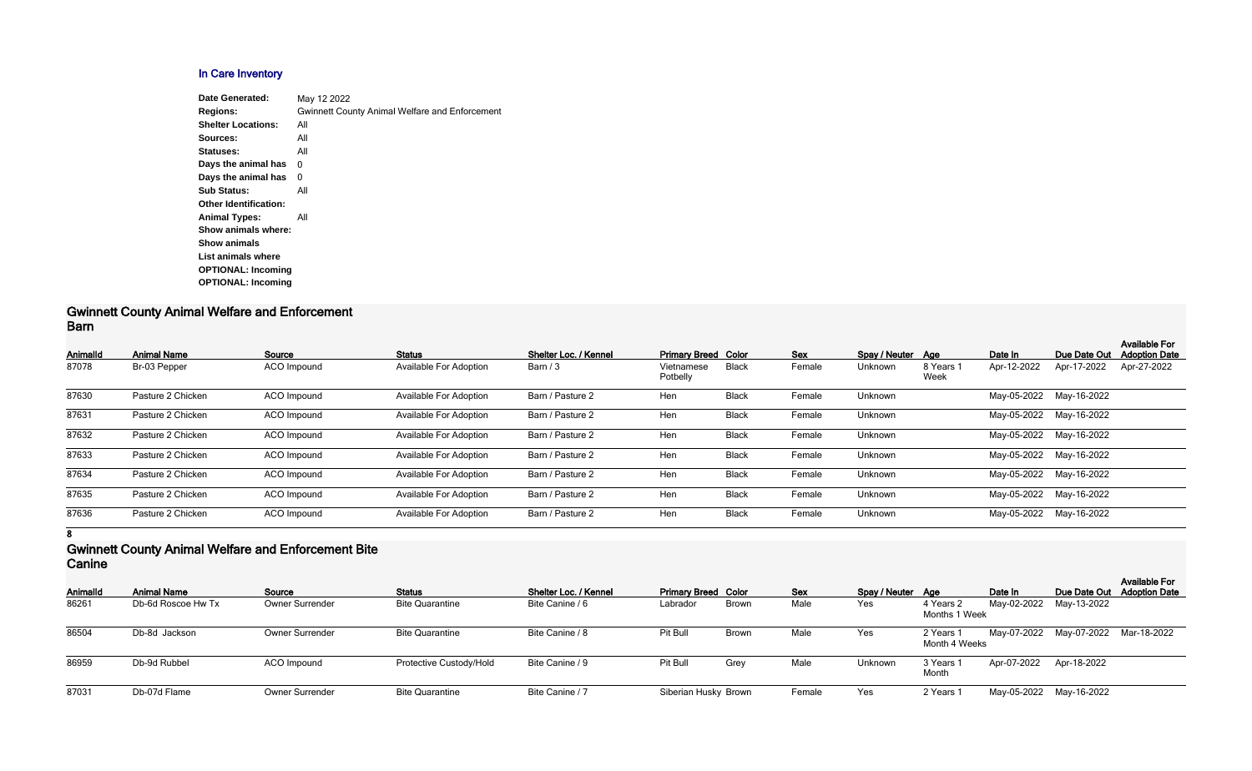## **In Care Inventory**

| Date Generated:              | May 12 2022                                           |
|------------------------------|-------------------------------------------------------|
| <b>Regions:</b>              | <b>Gwinnett County Animal Welfare and Enforcement</b> |
| <b>Shelter Locations:</b>    | All                                                   |
| Sources:                     | All                                                   |
| Statuses:                    | All                                                   |
| Days the animal has          | 0                                                     |
| Days the animal has          | 0                                                     |
| <b>Sub Status:</b>           | All                                                   |
| <b>Other Identification:</b> |                                                       |
| <b>Animal Types:</b>         | All                                                   |
| Show animals where:          |                                                       |
| <b>Show animals</b>          |                                                       |
| List animals where           |                                                       |
| <b>OPTIONAL: Incoming</b>    |                                                       |
| <b>OPTIONAL: Incoming</b>    |                                                       |
|                              |                                                       |

#### **Gwinnett County Animal Welfare and Enforcement Barn**

| Animalld | <b>Animal Name</b> | Source             | <b>Status</b>                 | Shelter Loc. / Kennel | <b>Primary Breed Color</b> |              | <b>Sex</b> | Spay / Neuter Age |                   | Date In     | Due Date Out            | <b>Available For</b><br><b>Adoption Date</b> |
|----------|--------------------|--------------------|-------------------------------|-----------------------|----------------------------|--------------|------------|-------------------|-------------------|-------------|-------------------------|----------------------------------------------|
| 87078    | Br-03 Pepper       | ACO Impound        | <b>Available For Adoption</b> | Barn $/3$             | Vietnamese<br>Potbelly     | <b>Black</b> | Female     | Unknown           | 8 Years 1<br>Week | Apr-12-2022 | Apr-17-2022             | Apr-27-2022                                  |
| 87630    | Pasture 2 Chicken  | <b>ACO</b> Impound | <b>Available For Adoption</b> | Barn / Pasture 2      | Hen                        | <b>Black</b> | Female     | Unknown           |                   |             | May-05-2022 May-16-2022 |                                              |
| 87631    | Pasture 2 Chicken  | ACO Impound        | <b>Available For Adoption</b> | Barn / Pasture 2      | Hen                        | <b>Black</b> | Female     | Unknown           |                   |             | May-05-2022 May-16-2022 |                                              |
| 87632    | Pasture 2 Chicken  | ACO Impound        | <b>Available For Adoption</b> | Barn / Pasture 2      | Hen                        | <b>Black</b> | Female     | Unknown           |                   |             | May-05-2022 May-16-2022 |                                              |
| 87633    | Pasture 2 Chicken  | ACO Impound        | <b>Available For Adoption</b> | Barn / Pasture 2      | Hen                        | <b>Black</b> | Female     | Unknown           |                   |             | May-05-2022 May-16-2022 |                                              |
| 87634    | Pasture 2 Chicken  | <b>ACO</b> Impound | <b>Available For Adoption</b> | Barn / Pasture 2      | Hen                        | <b>Black</b> | Female     | Unknown           |                   | May-05-2022 | May-16-2022             |                                              |
| 87635    | Pasture 2 Chicken  | ACO Impound        | <b>Available For Adoption</b> | Barn / Pasture 2      | Hen                        | <b>Black</b> | Female     | Unknown           |                   | May-05-2022 | May-16-2022             |                                              |
| 87636    | Pasture 2 Chicken  | <b>ACO Impound</b> | <b>Available For Adoption</b> | Barn / Pasture 2      | Hen                        | <b>Black</b> | Female     | Unknown           |                   |             | May-05-2022 May-16-2022 |                                              |

**8**

### **Gwinnett County Animal Welfare and Enforcement Bite Canine**

| <b>AnimalId</b> | <b>Animal Name</b> | Source                 | <b>Status</b>           | <b>Shelter Loc. / Kennel</b> | <b>Primary Breed Color</b> |              | <b>Sex</b> | Spay / Neuter Age |                            | Date In                 |                                     | <b>Available For</b><br>Due Date Out Adoption Date |
|-----------------|--------------------|------------------------|-------------------------|------------------------------|----------------------------|--------------|------------|-------------------|----------------------------|-------------------------|-------------------------------------|----------------------------------------------------|
| 86261           | Db-6d Roscoe Hw Tx | <b>Owner Surrender</b> | <b>Bite Quarantine</b>  | Bite Canine / 6              | Labrador                   | <b>Brown</b> | Male       | Yes               | 4 Years 2<br>Months 1 Week | May-02-2022 May-13-2022 |                                     |                                                    |
| 86504           | Db-8d Jackson      | <b>Owner Surrender</b> | <b>Bite Quarantine</b>  | Bite Canine / 8              | Pit Bull                   | <b>Brown</b> | Male       | Yes               | 2 Years 1<br>Month 4 Weeks |                         | May-07-2022 May-07-2022 Mar-18-2022 |                                                    |
| 86959           | Db-9d Rubbel       | ACO Impound            | Protective Custody/Hold | Bite Canine / 9              | Pit Bull                   | Grey         | Male       | Unknown           | 3 Years<br>Month           | Apr-07-2022 Apr-18-2022 |                                     |                                                    |
| 87031           | Db-07d Flame       | <b>Owner Surrender</b> | <b>Bite Quarantine</b>  | Bite Canine / 7              | Siberian Husky Brown       |              | Female     | Yes               | 2 Years                    |                         | May-05-2022 May-16-2022             |                                                    |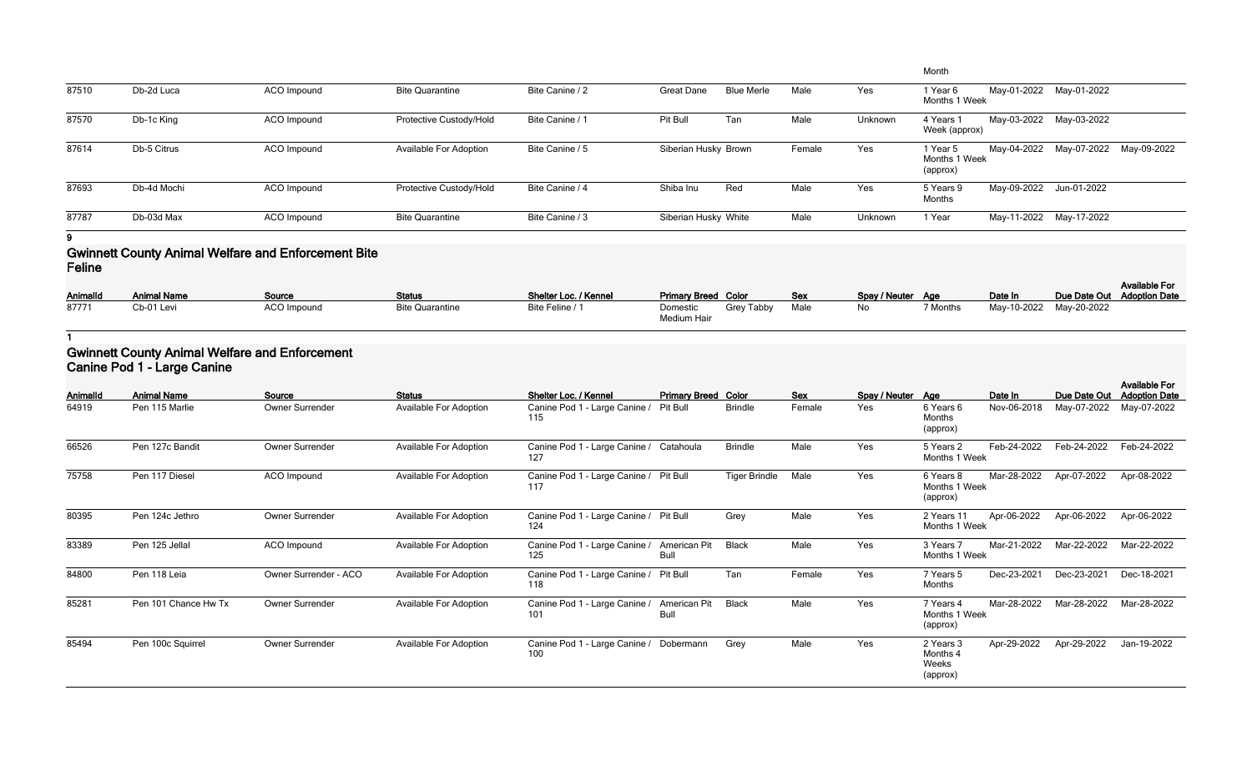|       |             |             |                               |                 |                      |                   |        |         | Month                                 |                         |                                     |  |
|-------|-------------|-------------|-------------------------------|-----------------|----------------------|-------------------|--------|---------|---------------------------------------|-------------------------|-------------------------------------|--|
| 87510 | Db-2d Luca  | ACO Impound | <b>Bite Quarantine</b>        | Bite Canine / 2 | <b>Great Dane</b>    | <b>Blue Merle</b> | Male   | Yes     | 1 Year 6<br>Months 1 Week             |                         | May-01-2022 May-01-2022             |  |
| 87570 | Db-1c King  | ACO Impound | Protective Custody/Hold       | Bite Canine / 1 | Pit Bull             | Tan               | Male   | Unknown | 4 Years 1<br>Week (approx)            |                         | May-03-2022 May-03-2022             |  |
| 87614 | Db-5 Citrus | ACO Impound | <b>Available For Adoption</b> | Bite Canine / 5 | Siberian Husky Brown |                   | Female | Yes     | 1 Year 5<br>Months 1 Week<br>(approx) |                         | May-04-2022 May-07-2022 May-09-2022 |  |
| 87693 | Db-4d Mochi | ACO Impound | Protective Custody/Hold       | Bite Canine / 4 | Shiba Inu            | Red               | Male   | Yes     | 5 Years 9<br>Months                   | May-09-2022 Jun-01-2022 |                                     |  |
| 87787 | Db-03d Max  | ACO Impound | <b>Bite Quarantine</b>        | Bite Canine / 3 | Siberian Husky White |                   | Male   | Unknown | i Year                                |                         | May-11-2022 May-17-2022             |  |

#### **Gwinnett County Animal Welfare and Enforcement Bite Feline**

| AnimalId | <b>Animal Name</b> | Source      | <b>Status</b>          | Shelter Loc. / Kennel | <b>Primary Breed Color</b> |            | Sex  | Spay / Neuter Age |          | Date In                 | Due Date Out Adoption Date | <b>Available For</b> |
|----------|--------------------|-------------|------------------------|-----------------------|----------------------------|------------|------|-------------------|----------|-------------------------|----------------------------|----------------------|
|          |                    |             |                        |                       |                            |            |      |                   |          |                         |                            |                      |
| 87771    | Cb-01 Levi         | ACO Impound | <b>Bite Quarantine</b> | Bite Feline / 1       | Domestic<br>Medium Hair    | Grey Tabby | Male | No                | 7 Months | May-10-2022 May-20-2022 |                            |                      |

**1**

#### **Gwinnett County Animal Welfare and Enforcement Canine Pod 1 - Large Canine**

|          | $\sim$ anno r $\sim$ a r $\sim$ ango $\sim$ anno r |                        |                               |                                                |                             |                      |        |                   |                                            |             |              |                                              |
|----------|----------------------------------------------------|------------------------|-------------------------------|------------------------------------------------|-----------------------------|----------------------|--------|-------------------|--------------------------------------------|-------------|--------------|----------------------------------------------|
| Animalld | <b>Animal Name</b>                                 | Source                 | <b>Status</b>                 | Shelter Loc. / Kennel                          | <b>Primary Breed Color</b>  |                      | Sex    | Spay / Neuter Age |                                            | Date In     | Due Date Out | <b>Available For</b><br><b>Adoption Date</b> |
| 64919    | Pen 115 Marlie                                     | <b>Owner Surrender</b> | Available For Adoption        | Canine Pod 1 - Large Canine /<br>115           | Pit Bull                    | <b>Brindle</b>       | Female | Yes               | 6 Years 6<br>Months<br>(approx)            | Nov-06-2018 | May-07-2022  | May-07-2022                                  |
| 66526    | Pen 127c Bandit                                    | Owner Surrender        | <b>Available For Adoption</b> | Canine Pod 1 - Large Canine / Catahoula<br>127 |                             | <b>Brindle</b>       | Male   | Yes               | 5 Years 2<br>Months 1 Week                 | Feb-24-2022 | Feb-24-2022  | Feb-24-2022                                  |
| 75758    | Pen 117 Diesel                                     | ACO Impound            | Available For Adoption        | Canine Pod 1 - Large Canine /<br>117           | <b>Pit Bull</b>             | <b>Tiger Brindle</b> | Male   | Yes               | 6 Years 8<br>Months 1 Week<br>(approx)     | Mar-28-2022 | Apr-07-2022  | Apr-08-2022                                  |
| 80395    | Pen 124c Jethro                                    | Owner Surrender        | <b>Available For Adoption</b> | Canine Pod 1 - Large Canine /<br>124           | Pit Bull                    | Grey                 | Male   | Yes               | 2 Years 11<br>Months 1 Week                | Apr-06-2022 | Apr-06-2022  | Apr-06-2022                                  |
| 83389    | Pen 125 Jellal                                     | ACO Impound            | Available For Adoption        | Canine Pod 1 - Large Canine /<br>125           | American Pit<br>Bull        | <b>Black</b>         | Male   | Yes               | 3 Years 7<br>Months 1 Week                 | Mar-21-2022 | Mar-22-2022  | Mar-22-2022                                  |
| 84800    | Pen 118 Leia                                       | Owner Surrender - ACO  | <b>Available For Adoption</b> | Canine Pod 1 - Large Canine /<br>118           | <b>Pit Bull</b>             | Tan                  | Female | Yes               | 7 Years 5<br>Months                        | Dec-23-2021 | Dec-23-2021  | Dec-18-2021                                  |
| 85281    | Pen 101 Chance Hw Tx                               | Owner Surrender        | Available For Adoption        | Canine Pod 1 - Large Canine /<br>101           | American Pit<br><b>Bull</b> | <b>Black</b>         | Male   | Yes               | 7 Years 4<br>Months 1 Week<br>(approx)     | Mar-28-2022 | Mar-28-2022  | Mar-28-2022                                  |
| 85494    | Pen 100c Squirrel                                  | <b>Owner Surrender</b> | Available For Adoption        | Canine Pod 1 - Large Canine / Dobermann<br>100 |                             | Grey                 | Male   | Yes               | 2 Years 3<br>Months 4<br>Weeks<br>(approx) | Apr-29-2022 | Apr-29-2022  | Jan-19-2022                                  |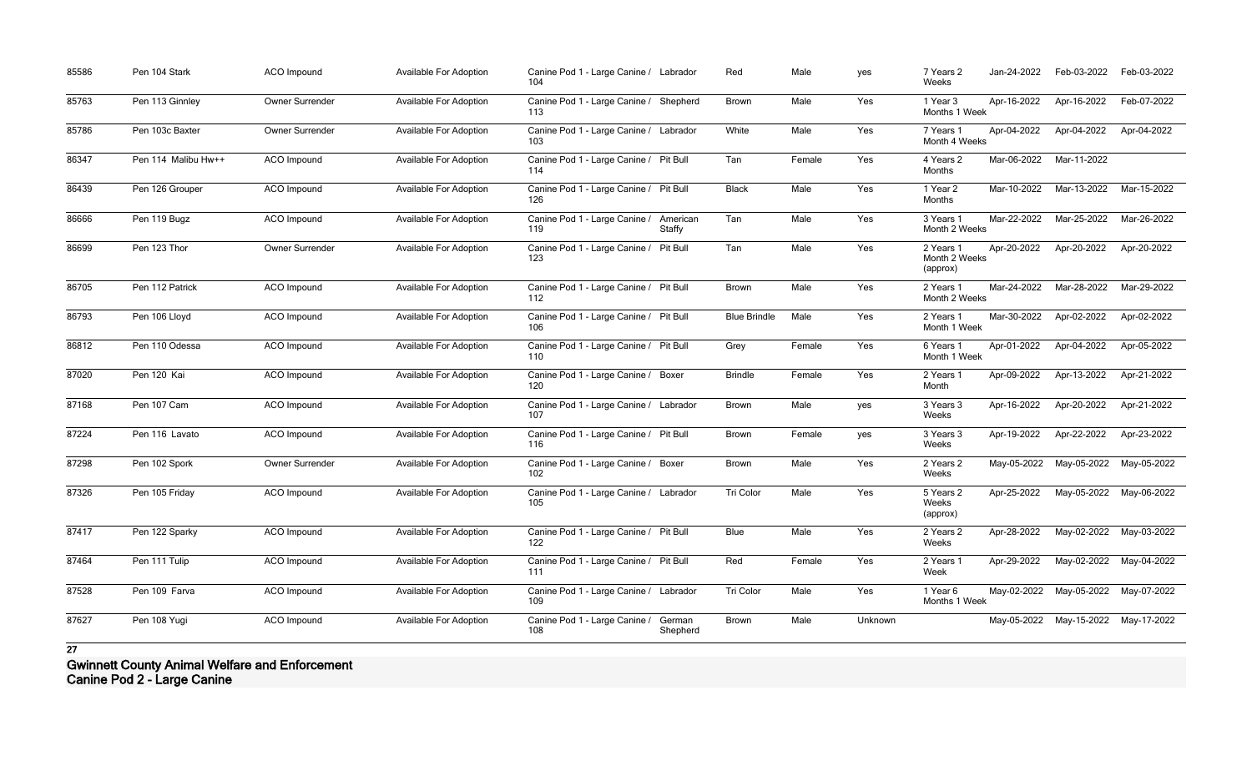| 85586 | Pen 104 Stark       | <b>ACO</b> Impound     | <b>Available For Adoption</b> | Canine Pod 1 - Large Canine / Labrador<br>104           | Red                      | Male   | yes     | 7 Years 2<br>Weeks                     | Jan-24-2022 | Feb-03-2022                         | Feb-03-2022             |
|-------|---------------------|------------------------|-------------------------------|---------------------------------------------------------|--------------------------|--------|---------|----------------------------------------|-------------|-------------------------------------|-------------------------|
| 85763 | Pen 113 Ginnley     | <b>Owner Surrender</b> | Available For Adoption        | Canine Pod 1 - Large Canine /<br>113                    | Shepherd<br><b>Brown</b> | Male   | Yes     | 1 Year 3<br>Months 1 Week              | Apr-16-2022 | Apr-16-2022                         | Feb-07-2022             |
| 85786 | Pen 103c Baxter     | <b>Owner Surrender</b> | <b>Available For Adoption</b> | Canine Pod 1 - Large Canine / Labrador<br>103           | White                    | Male   | Yes     | 7 Years 1<br>Month 4 Weeks             | Apr-04-2022 | Apr-04-2022                         | Apr-04-2022             |
| 86347 | Pen 114 Malibu Hw++ | <b>ACO</b> Impound     | <b>Available For Adoption</b> | Canine Pod 1 - Large Canine / Pit Bull<br>114           | Tan                      | Female | Yes     | 4 Years 2<br>Months                    | Mar-06-2022 | Mar-11-2022                         |                         |
| 86439 | Pen 126 Grouper     | <b>ACO</b> Impound     | Available For Adoption        | Canine Pod 1 - Large Canine / Pit Bull<br>126           | <b>Black</b>             | Male   | Yes     | 1 Year 2<br>Months                     | Mar-10-2022 | Mar-13-2022                         | Mar-15-2022             |
| 86666 | Pen 119 Bugz        | <b>ACO</b> Impound     | <b>Available For Adoption</b> | Canine Pod 1 - Large Canine /<br>119<br>Staffy          | American<br>Tan          | Male   | Yes     | 3 Years 1<br>Month 2 Weeks             | Mar-22-2022 | Mar-25-2022                         | Mar-26-2022             |
| 86699 | Pen 123 Thor        | Owner Surrender        | <b>Available For Adoption</b> | Canine Pod 1 - Large Canine /<br><b>Pit Bull</b><br>123 | Tan                      | Male   | Yes     | 2 Years 1<br>Month 2 Weeks<br>(approx) | Apr-20-2022 | Apr-20-2022                         | Apr-20-2022             |
| 86705 | Pen 112 Patrick     | <b>ACO</b> Impound     | <b>Available For Adoption</b> | Canine Pod 1 - Large Canine / Pit Bull<br>112           | <b>Brown</b>             | Male   | Yes     | 2 Years 1<br>Month 2 Weeks             | Mar-24-2022 | Mar-28-2022                         | Mar-29-2022             |
| 86793 | Pen 106 Lloyd       | <b>ACO</b> Impound     | <b>Available For Adoption</b> | Canine Pod 1 - Large Canine / Pit Bull<br>106           | <b>Blue Brindle</b>      | Male   | Yes     | 2 Years 1<br>Month 1 Week              | Mar-30-2022 | Apr-02-2022                         | Apr-02-2022             |
| 86812 | Pen 110 Odessa      | <b>ACO</b> Impound     | <b>Available For Adoption</b> | Canine Pod 1 - Large Canine / Pit Bull<br>110           | Grey                     | Female | Yes     | 6 Years 1<br>Month 1 Week              | Apr-01-2022 | Apr-04-2022                         | Apr-05-2022             |
| 87020 | Pen 120 Kai         | <b>ACO</b> Impound     | <b>Available For Adoption</b> | Canine Pod 1 - Large Canine / Boxer<br>120              | <b>Brindle</b>           | Female | Yes     | 2 Years 1<br>Month                     | Apr-09-2022 | Apr-13-2022                         | Apr-21-2022             |
| 87168 | Pen 107 Cam         | ACO Impound            | Available For Adoption        | Canine Pod 1 - Large Canine / Labrador<br>107           | <b>Brown</b>             | Male   | yes     | 3 Years 3<br>Weeks                     | Apr-16-2022 | Apr-20-2022                         | Apr-21-2022             |
| 87224 | Pen 116 Lavato      | <b>ACO</b> Impound     | <b>Available For Adoption</b> | Canine Pod 1 - Large Canine / Pit Bull<br>116           | <b>Brown</b>             | Female | yes     | 3 Years 3<br>Weeks                     | Apr-19-2022 | Apr-22-2022                         | Apr-23-2022             |
| 87298 | Pen 102 Spork       | Owner Surrender        | <b>Available For Adoption</b> | Canine Pod 1 - Large Canine / Boxer<br>102              | <b>Brown</b>             | Male   | Yes     | 2 Years 2<br>Weeks                     | May-05-2022 | May-05-2022                         | May-05-2022             |
| 87326 | Pen 105 Friday      | <b>ACO</b> Impound     | <b>Available For Adoption</b> | Canine Pod 1 - Large Canine / Labrador<br>105           | Tri Color                | Male   | Yes     | 5 Years 2<br>Weeks<br>(approx)         | Apr-25-2022 | May-05-2022                         | May-06-2022             |
| 87417 | Pen 122 Sparky      | ACO Impound            | <b>Available For Adoption</b> | Canine Pod 1 - Large Canine / Pit Bull<br>122           | Blue                     | Male   | Yes     | 2 Years 2<br>Weeks                     | Apr-28-2022 | May-02-2022                         | May-03-2022             |
| 87464 | Pen 111 Tulip       | <b>ACO</b> Impound     | <b>Available For Adoption</b> | Canine Pod 1 - Large Canine / Pit Bull<br>111           | Red                      | Female | Yes     | 2 Years 1<br>Week                      | Apr-29-2022 |                                     | May-02-2022 May-04-2022 |
| 87528 | Pen 109 Farva       | <b>ACO</b> Impound     | <b>Available For Adoption</b> | Canine Pod 1 - Large Canine / Labrador<br>109           | Tri Color                | Male   | Yes     | 1 Year 6<br>Months 1 Week              |             | May-02-2022 May-05-2022 May-07-2022 |                         |
| 87627 | Pen 108 Yugi        | ACO Impound            | <b>Available For Adoption</b> | Canine Pod 1 - Large Canine /<br>German<br>108          | Brown<br>Shepherd        | Male   | Unknown |                                        |             | May-05-2022 May-15-2022             | May-17-2022             |

**Gwinnett County Animal Welfare and Enforcement Canine Pod 2 - Large Canine**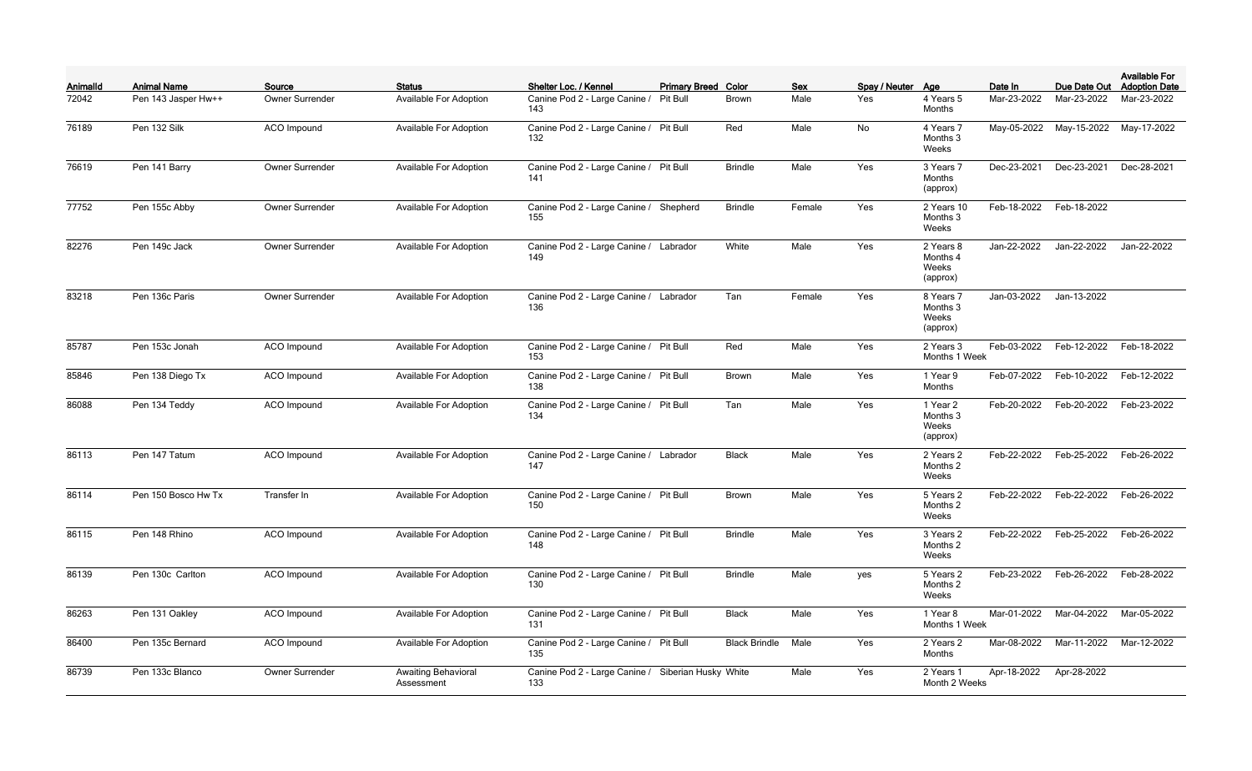| Animalld | <b>Animal Name</b>  | Source             | <b>Status</b>                            | Shelter Loc. / Kennel                                     | <b>Primary Breed Color</b> |                      | <b>Sex</b> | Spay / Neuter Age |                                            | Date In     | Due Date Out | <b>Available For</b><br><b>Adoption Date</b> |
|----------|---------------------|--------------------|------------------------------------------|-----------------------------------------------------------|----------------------------|----------------------|------------|-------------------|--------------------------------------------|-------------|--------------|----------------------------------------------|
| 72042    | Pen 143 Jasper Hw++ | Owner Surrender    | Available For Adoption                   | Canine Pod 2 - Large Canine /<br>143                      | Pit Bull                   | <b>Brown</b>         | Male       | Yes               | 4 Years 5<br>Months                        | Mar-23-2022 | Mar-23-2022  | Mar-23-2022                                  |
| 76189    | Pen 132 Silk        | <b>ACO</b> Impound | Available For Adoption                   | Canine Pod 2 - Large Canine /<br>132                      | <b>Pit Bull</b>            | Red                  | Male       | No                | 4 Years 7<br>Months 3<br>Weeks             | May-05-2022 | May-15-2022  | May-17-2022                                  |
| 76619    | Pen 141 Barry       | Owner Surrender    | <b>Available For Adoption</b>            | Canine Pod 2 - Large Canine / Pit Bull<br>141             |                            | <b>Brindle</b>       | Male       | Yes               | 3 Years 7<br>Months<br>(approx)            | Dec-23-2021 | Dec-23-2021  | Dec-28-2021                                  |
| 77752    | Pen 155c Abby       | Owner Surrender    | Available For Adoption                   | Canine Pod 2 - Large Canine /<br>155                      | Shepherd                   | <b>Brindle</b>       | Female     | Yes               | 2 Years 10<br>Months 3<br>Weeks            | Feb-18-2022 | Feb-18-2022  |                                              |
| 82276    | Pen 149c Jack       | Owner Surrender    | Available For Adoption                   | Canine Pod 2 - Large Canine / Labrador<br>149             |                            | White                | Male       | Yes               | 2 Years 8<br>Months 4<br>Weeks<br>(approx) | Jan-22-2022 | Jan-22-2022  | Jan-22-2022                                  |
| 83218    | Pen 136c Paris      | Owner Surrender    | <b>Available For Adoption</b>            | Canine Pod 2 - Large Canine / Labrador<br>136             |                            | Tan                  | Female     | Yes               | 8 Years 7<br>Months 3<br>Weeks<br>(approx) | Jan-03-2022 | Jan-13-2022  |                                              |
| 85787    | Pen 153c Jonah      | <b>ACO</b> Impound | Available For Adoption                   | Canine Pod 2 - Large Canine / Pit Bull<br>153             |                            | Red                  | Male       | Yes               | 2 Years 3<br>Months 1 Week                 | Feb-03-2022 | Feb-12-2022  | Feb-18-2022                                  |
| 85846    | Pen 138 Diego Tx    | <b>ACO</b> Impound | Available For Adoption                   | Canine Pod 2 - Large Canine / Pit Bull<br>138             |                            | <b>Brown</b>         | Male       | Yes               | 1 Year 9<br>Months                         | Feb-07-2022 | Feb-10-2022  | Feb-12-2022                                  |
| 86088    | Pen 134 Teddy       | <b>ACO</b> Impound | Available For Adoption                   | Canine Pod 2 - Large Canine / Pit Bull<br>134             |                            | Tan                  | Male       | Yes               | 1 Year 2<br>Months 3<br>Weeks<br>(approx)  | Feb-20-2022 | Feb-20-2022  | Feb-23-2022                                  |
| 86113    | Pen 147 Tatum       | <b>ACO</b> Impound | Available For Adoption                   | Canine Pod 2 - Large Canine / Labrador<br>147             |                            | <b>Black</b>         | Male       | Yes               | 2 Years 2<br>Months 2<br>Weeks             | Feb-22-2022 | Feb-25-2022  | Feb-26-2022                                  |
| 86114    | Pen 150 Bosco Hw Tx | Transfer In        | Available For Adoption                   | Canine Pod 2 - Large Canine / Pit Bull<br>150             |                            | Brown                | Male       | Yes               | 5 Years 2<br>Months 2<br>Weeks             | Feb-22-2022 | Feb-22-2022  | Feb-26-2022                                  |
| 86115    | Pen 148 Rhino       | ACO Impound        | <b>Available For Adoption</b>            | Canine Pod 2 - Large Canine / Pit Bull<br>148             |                            | <b>Brindle</b>       | Male       | Yes               | 3 Years 2<br>Months 2<br>Weeks             | Feb-22-2022 | Feb-25-2022  | Feb-26-2022                                  |
| 86139    | Pen 130c Carlton    | ACO Impound        | <b>Available For Adoption</b>            | Canine Pod 2 - Large Canine / Pit Bull<br>130             |                            | <b>Brindle</b>       | Male       | yes               | 5 Years 2<br>Months 2<br>Weeks             | Feb-23-2022 | Feb-26-2022  | Feb-28-2022                                  |
| 86263    | Pen 131 Oakley      | ACO Impound        | <b>Available For Adoption</b>            | Canine Pod 2 - Large Canine / Pit Bull<br>131             |                            | <b>Black</b>         | Male       | Yes               | 1 Year 8<br>Months 1 Week                  | Mar-01-2022 | Mar-04-2022  | Mar-05-2022                                  |
| 86400    | Pen 135c Bernard    | ACO Impound        | Available For Adoption                   | Canine Pod 2 - Large Canine / Pit Bull<br>135             |                            | <b>Black Brindle</b> | Male       | Yes               | 2 Years 2<br>Months                        | Mar-08-2022 | Mar-11-2022  | Mar-12-2022                                  |
| 86739    | Pen 133c Blanco     | Owner Surrender    | <b>Awaiting Behavioral</b><br>Assessment | Canine Pod 2 - Large Canine / Siberian Husky White<br>133 |                            |                      | Male       | Yes               | 2 Years 1<br>Month 2 Weeks                 | Apr-18-2022 | Apr-28-2022  |                                              |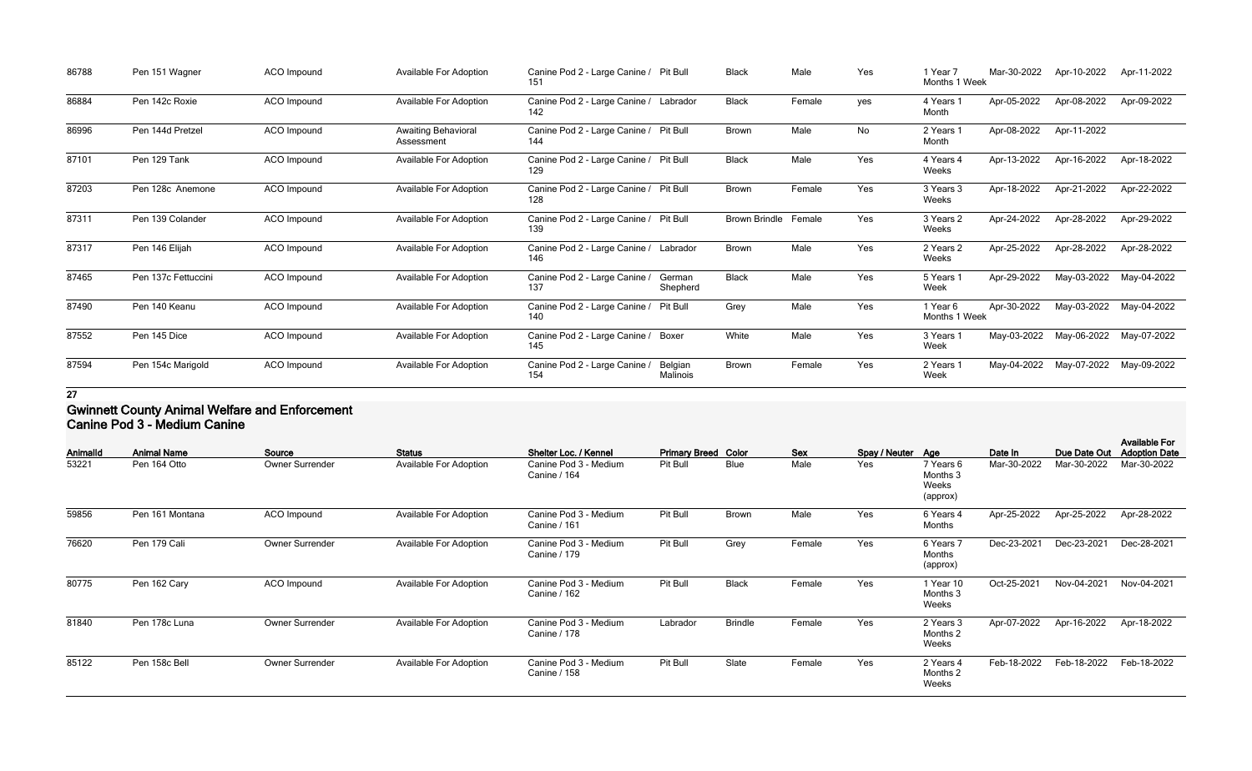| 86788 | Pen 151 Wagner      | ACO Impound | <b>Available For Adoption</b>            | Canine Pod 2 - Large Canine / Pit Bull<br>151 |                     | <b>Black</b>         | Male   | Yes | 1 Year 7<br>Months 1 Week | Mar-30-2022 | Apr-10-2022 | Apr-11-2022 |
|-------|---------------------|-------------|------------------------------------------|-----------------------------------------------|---------------------|----------------------|--------|-----|---------------------------|-------------|-------------|-------------|
| 86884 | Pen 142c Roxie      | ACO Impound | <b>Available For Adoption</b>            | Canine Pod 2 - Large Canine / Labrador<br>142 |                     | <b>Black</b>         | Female | yes | 4 Years<br>Month          | Apr-05-2022 | Apr-08-2022 | Apr-09-2022 |
| 86996 | Pen 144d Pretzel    | ACO Impound | <b>Awaiting Behavioral</b><br>Assessment | Canine Pod 2 - Large Canine / Pit Bull<br>144 |                     | <b>Brown</b>         | Male   | No  | 2 Years<br>Month          | Apr-08-2022 | Apr-11-2022 |             |
| 87101 | Pen 129 Tank        | ACO Impound | <b>Available For Adoption</b>            | Canine Pod 2 - Large Canine / Pit Bull<br>129 |                     | <b>Black</b>         | Male   | Yes | 4 Years 4<br>Weeks        | Apr-13-2022 | Apr-16-2022 | Apr-18-2022 |
| 87203 | Pen 128c Anemone    | ACO Impound | <b>Available For Adoption</b>            | Canine Pod 2 - Large Canine / Pit Bull<br>128 |                     | <b>Brown</b>         | Female | Yes | 3 Years 3<br>Weeks        | Apr-18-2022 | Apr-21-2022 | Apr-22-2022 |
| 87311 | Pen 139 Colander    | ACO Impound | Available For Adoption                   | Canine Pod 2 - Large Canine / Pit Bull<br>139 |                     | <b>Brown Brindle</b> | Female | Yes | 3 Years 2<br>Weeks        | Apr-24-2022 | Apr-28-2022 | Apr-29-2022 |
| 87317 | Pen 146 Elijah      | ACO Impound | <b>Available For Adoption</b>            | Canine Pod 2 - Large Canine / Labrador<br>146 |                     | Brown                | Male   | Yes | 2 Years 2<br>Weeks        | Apr-25-2022 | Apr-28-2022 | Apr-28-2022 |
| 87465 | Pen 137c Fettuccini | ACO Impound | <b>Available For Adoption</b>            | Canine Pod 2 - Large Canine /<br>137          | German<br>Shepherd  | <b>Black</b>         | Male   | Yes | 5 Years 1<br>Week         | Apr-29-2022 | May-03-2022 | May-04-2022 |
| 87490 | Pen 140 Keanu       | ACO Impound | <b>Available For Adoption</b>            | Canine Pod 2 - Large Canine /<br>140          | Pit Bull            | Grey                 | Male   | Yes | 1 Year 6<br>Months 1 Week | Apr-30-2022 | May-03-2022 | May-04-2022 |
| 87552 | Pen 145 Dice        | ACO Impound | <b>Available For Adoption</b>            | Canine Pod 2 - Large Canine / Boxer<br>145    |                     | White                | Male   | Yes | 3 Years 1<br>Week         | May-03-2022 | May-06-2022 | May-07-2022 |
| 87594 | Pen 154c Marigold   | ACO Impound | Available For Adoption                   | Canine Pod 2 - Large Canine /<br>154          | Belgian<br>Malinois | <b>Brown</b>         | Female | Yes | 2 Years 1<br>Week         | May-04-2022 | May-07-2022 | May-09-2022 |

### **Gwinnett County Animal Welfare and Enforcement Canine Pod 3 - Medium Canine**

| Animalld | <b>Animal Name</b> | Source                 | <b>Status</b>                 | Shelter Loc. / Kennel                        | <b>Primary Breed Color</b> |                | <b>Sex</b> | Spay / Neuter Age |                                            | Date In     | Due Date Out | <b>Available For</b><br><b>Adoption Date</b> |
|----------|--------------------|------------------------|-------------------------------|----------------------------------------------|----------------------------|----------------|------------|-------------------|--------------------------------------------|-------------|--------------|----------------------------------------------|
| 53221    | Pen 164 Otto       | <b>Owner Surrender</b> | <b>Available For Adoption</b> | Canine Pod 3 - Medium<br><b>Canine / 164</b> | Pit Bull                   | <b>Blue</b>    | Male       | Yes               | 7 Years 6<br>Months 3<br>Weeks<br>(approx) | Mar-30-2022 | Mar-30-2022  | Mar-30-2022                                  |
| 59856    | Pen 161 Montana    | ACO Impound            | <b>Available For Adoption</b> | Canine Pod 3 - Medium<br>Canine / 161        | Pit Bull                   | <b>Brown</b>   | Male       | Yes               | 6 Years 4<br>Months                        | Apr-25-2022 | Apr-25-2022  | Apr-28-2022                                  |
| 76620    | Pen 179 Cali       | <b>Owner Surrender</b> | <b>Available For Adoption</b> | Canine Pod 3 - Medium<br>Canine / 179        | Pit Bull                   | Grey           | Female     | Yes               | 6 Years 7<br>Months<br>(approx)            | Dec-23-2021 | Dec-23-2021  | Dec-28-2021                                  |
| 80775    | Pen 162 Cary       | ACO Impound            | <b>Available For Adoption</b> | Canine Pod 3 - Medium<br><b>Canine / 162</b> | Pit Bull                   | <b>Black</b>   | Female     | Yes               | 1 Year 10<br>Months 3<br>Weeks             | Oct-25-2021 | Nov-04-2021  | Nov-04-2021                                  |
| 81840    | Pen 178c Luna      | <b>Owner Surrender</b> | <b>Available For Adoption</b> | Canine Pod 3 - Medium<br>Canine / 178        | Labrador                   | <b>Brindle</b> | Female     | Yes               | 2 Years 3<br>Months 2<br>Weeks             | Apr-07-2022 | Apr-16-2022  | Apr-18-2022                                  |
| 85122    | Pen 158c Bell      | <b>Owner Surrender</b> | <b>Available For Adoption</b> | Canine Pod 3 - Medium<br>Canine / 158        | Pit Bull                   | Slate          | Female     | Yes               | 2 Years 4<br>Months 2<br>Weeks             | Feb-18-2022 | Feb-18-2022  | Feb-18-2022                                  |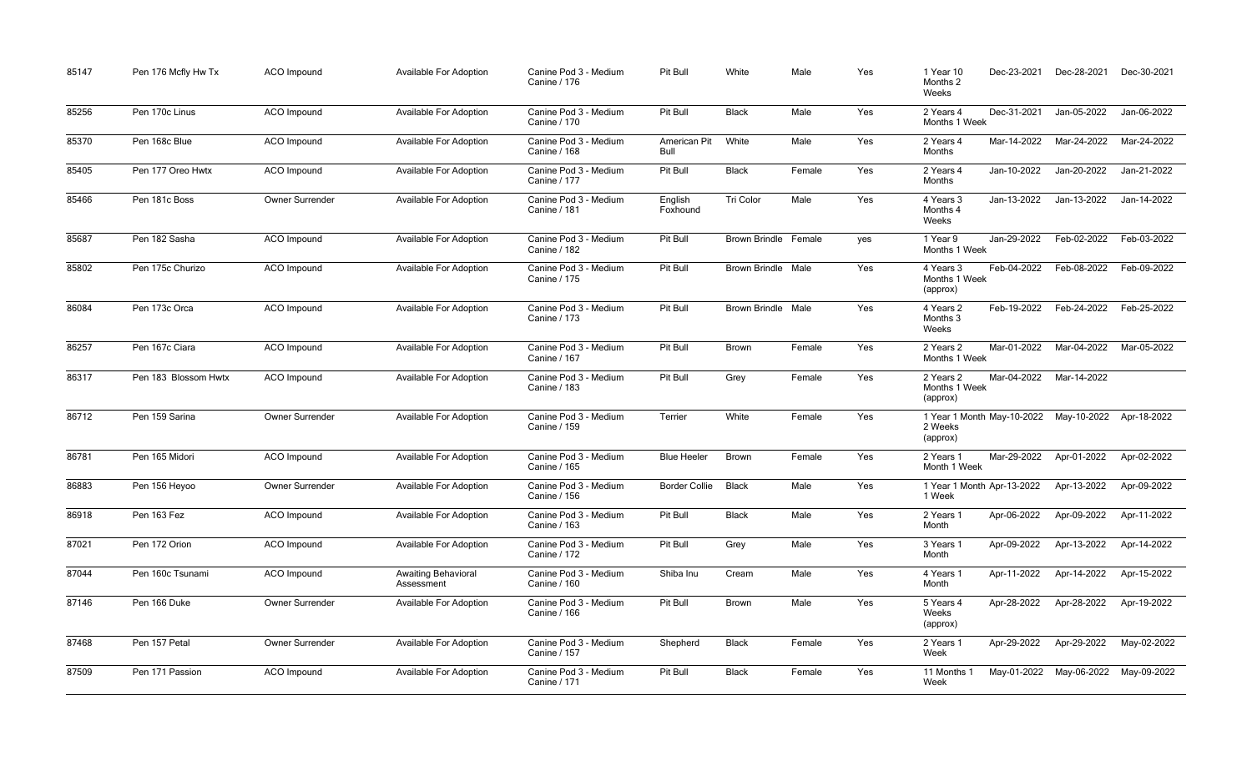| 85147 | Pen 176 Mcfly Hw Tx  | ACO Impound     | Available For Adoption                   | Canine Pod 3 - Medium<br>Canine / 176        | Pit Bull             | White                     | Male   | Yes | 1 Year 10<br>Months 2<br>Weeks                    | Dec-23-2021 | Dec-28-2021             | Dec-30-2021 |
|-------|----------------------|-----------------|------------------------------------------|----------------------------------------------|----------------------|---------------------------|--------|-----|---------------------------------------------------|-------------|-------------------------|-------------|
| 85256 | Pen 170c Linus       | ACO Impound     | <b>Available For Adoption</b>            | Canine Pod 3 - Medium<br>Canine / 170        | Pit Bull             | <b>Black</b>              | Male   | Yes | 2 Years 4<br>Months 1 Week                        | Dec-31-2021 | Jan-05-2022             | Jan-06-2022 |
| 85370 | Pen 168c Blue        | ACO Impound     | Available For Adoption                   | Canine Pod 3 - Medium<br>Canine / 168        | American Pit<br>Bull | White                     | Male   | Yes | 2 Years 4<br>Months                               | Mar-14-2022 | Mar-24-2022             | Mar-24-2022 |
| 85405 | Pen 177 Oreo Hwtx    | ACO Impound     | <b>Available For Adoption</b>            | Canine Pod 3 - Medium<br><b>Canine / 177</b> | Pit Bull             | <b>Black</b>              | Female | Yes | 2 Years 4<br>Months                               | Jan-10-2022 | Jan-20-2022             | Jan-21-2022 |
| 85466 | Pen 181c Boss        | Owner Surrender | <b>Available For Adoption</b>            | Canine Pod 3 - Medium<br>Canine / 181        | English<br>Foxhound  | <b>Tri Color</b>          | Male   | Yes | 4 Years 3<br>Months 4<br>Weeks                    | Jan-13-2022 | Jan-13-2022             | Jan-14-2022 |
| 85687 | Pen 182 Sasha        | ACO Impound     | Available For Adoption                   | Canine Pod 3 - Medium<br><b>Canine / 182</b> | Pit Bull             | Brown Brindle Female      |        | yes | 1 Year 9<br>Months 1 Week                         | Jan-29-2022 | Feb-02-2022             | Feb-03-2022 |
| 85802 | Pen 175c Churizo     | ACO Impound     | Available For Adoption                   | Canine Pod 3 - Medium<br><b>Canine / 175</b> | Pit Bull             | <b>Brown Brindle Male</b> |        | Yes | 4 Years 3<br>Months 1 Week<br>(approx)            | Feb-04-2022 | Feb-08-2022             | Feb-09-2022 |
| 86084 | Pen 173c Orca        | ACO Impound     | Available For Adoption                   | Canine Pod 3 - Medium<br><b>Canine / 173</b> | Pit Bull             | <b>Brown Brindle Male</b> |        | Yes | 4 Years 2<br>Months 3<br>Weeks                    | Feb-19-2022 | Feb-24-2022             | Feb-25-2022 |
| 86257 | Pen 167c Ciara       | ACO Impound     | Available For Adoption                   | Canine Pod 3 - Medium<br>Canine / 167        | Pit Bull             | Brown                     | Female | Yes | 2 Years 2<br>Months 1 Week                        | Mar-01-2022 | Mar-04-2022             | Mar-05-2022 |
| 86317 | Pen 183 Blossom Hwtx | ACO Impound     | Available For Adoption                   | Canine Pod 3 - Medium<br><b>Canine / 183</b> | Pit Bull             | Grey                      | Female | Yes | 2 Years 2<br>Months 1 Week<br>(approx)            | Mar-04-2022 | Mar-14-2022             |             |
| 86712 | Pen 159 Sarina       | Owner Surrender | Available For Adoption                   | Canine Pod 3 - Medium<br>Canine / 159        | Terrier              | White                     | Female | Yes | 1 Year 1 Month May-10-2022<br>2 Weeks<br>(approx) |             | May-10-2022             | Apr-18-2022 |
| 86781 | Pen 165 Midori       | ACO Impound     | Available For Adoption                   | Canine Pod 3 - Medium<br>Canine / 165        | <b>Blue Heeler</b>   | <b>Brown</b>              | Female | Yes | 2 Years 1<br>Month 1 Week                         | Mar-29-2022 | Apr-01-2022             | Apr-02-2022 |
| 86883 | Pen 156 Heyoo        | Owner Surrender | <b>Available For Adoption</b>            | Canine Pod 3 - Medium<br>Canine / 156        | <b>Border Collie</b> | <b>Black</b>              | Male   | Yes | 1 Year 1 Month Apr-13-2022<br>1 Week              |             | Apr-13-2022             | Apr-09-2022 |
| 86918 | Pen 163 Fez          | ACO Impound     | Available For Adoption                   | Canine Pod 3 - Medium<br>Canine / 163        | Pit Bull             | <b>Black</b>              | Male   | Yes | 2 Years 1<br>Month                                | Apr-06-2022 | Apr-09-2022             | Apr-11-2022 |
| 87021 | Pen 172 Orion        | ACO Impound     | Available For Adoption                   | Canine Pod 3 - Medium<br><b>Canine / 172</b> | Pit Bull             | Grey                      | Male   | Yes | 3 Years 1<br>Month                                | Apr-09-2022 | Apr-13-2022             | Apr-14-2022 |
| 87044 | Pen 160c Tsunami     | ACO Impound     | <b>Awaiting Behavioral</b><br>Assessment | Canine Pod 3 - Medium<br>Canine / 160        | Shiba Inu            | Cream                     | Male   | Yes | 4 Years 1<br>Month                                | Apr-11-2022 | Apr-14-2022             | Apr-15-2022 |
| 87146 | Pen 166 Duke         | Owner Surrender | Available For Adoption                   | Canine Pod 3 - Medium<br>Canine / 166        | Pit Bull             | Brown                     | Male   | Yes | 5 Years 4<br>Weeks<br>(approx)                    | Apr-28-2022 | Apr-28-2022             | Apr-19-2022 |
| 87468 | Pen 157 Petal        | Owner Surrender | Available For Adoption                   | Canine Pod 3 - Medium<br><b>Canine / 157</b> | Shepherd             | <b>Black</b>              | Female | Yes | 2 Years 1<br>Week                                 | Apr-29-2022 | Apr-29-2022             | May-02-2022 |
| 87509 | Pen 171 Passion      | ACO Impound     | Available For Adoption                   | Canine Pod 3 - Medium<br>Canine / 171        | Pit Bull             | <b>Black</b>              | Female | Yes | 11 Months 1<br>Week                               |             | May-01-2022 May-06-2022 | May-09-2022 |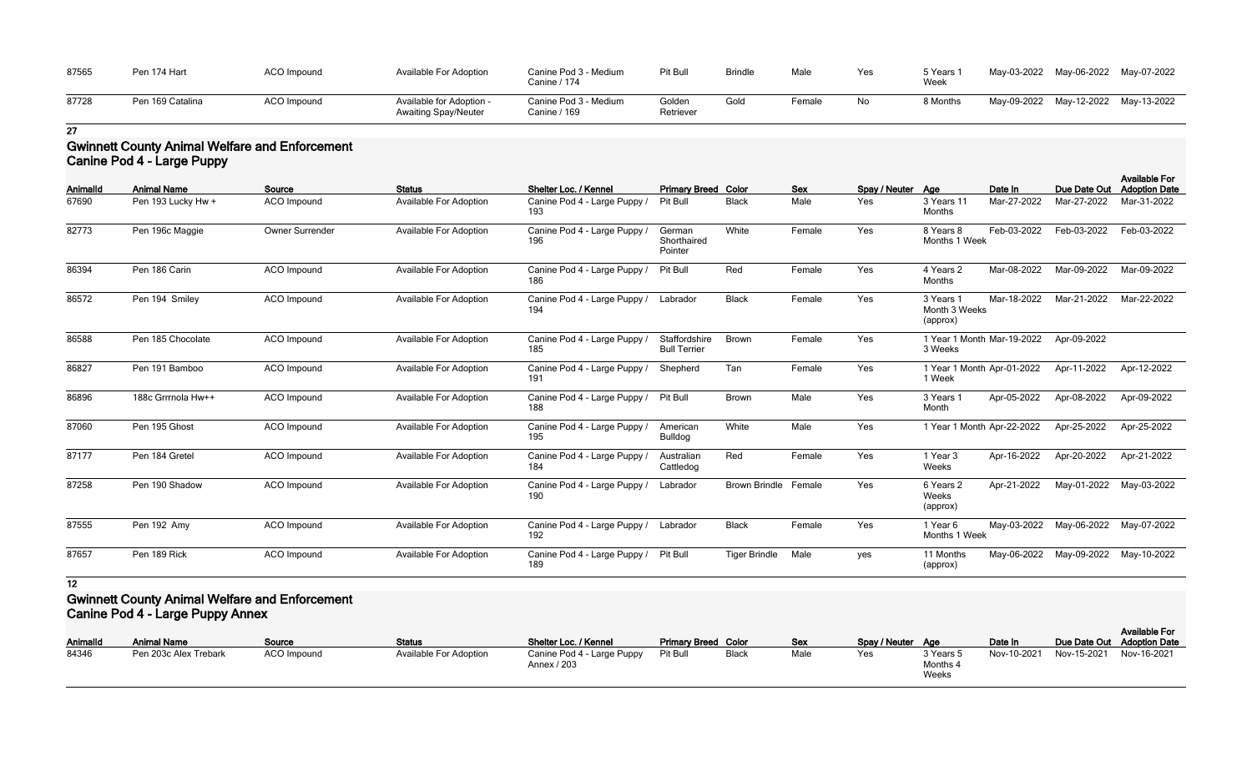| 87565 | Pen 174 Hart     | <b>ACO Impound</b> | Available For Adoption                                  | Canine Pod 3 - Medium<br>Canine / 174 | Pit Bull            | <b>Brindle</b> | Male   | Yes | 5 Years 1<br>Week | May-03-2022 May-06-2022 May-07-2022 |  |
|-------|------------------|--------------------|---------------------------------------------------------|---------------------------------------|---------------------|----------------|--------|-----|-------------------|-------------------------------------|--|
| 87728 | Pen 169 Catalina | <b>ACO Impound</b> | Available for Adoption -<br><b>Awaiting Spay/Neuter</b> | Canine Pod 3 - Medium<br>Canine / 169 | Golden<br>Retriever | Gold           | Female | No  | 8 Months          | May-09-2022 May-12-2022 May-13-2022 |  |

## **Gwinnett County Animal Welfare and Enforcement Canine Pod 4 - Large Puppy**

|          |                    |                        |                               |                                              |                                      |                             |            |                   |                                        |             |                         | <b>Available For</b> |
|----------|--------------------|------------------------|-------------------------------|----------------------------------------------|--------------------------------------|-----------------------------|------------|-------------------|----------------------------------------|-------------|-------------------------|----------------------|
| Animalld | <b>Animal Name</b> | Source                 | <b>Status</b>                 | Shelter Loc. / Kennel                        | <b>Primary Breed Color</b>           |                             | <b>Sex</b> | Spay / Neuter Age |                                        | Date In     | Due Date Out            | <b>Adoption Date</b> |
| 67690    | Pen 193 Lucky Hw + | <b>ACO</b> Impound     | <b>Available For Adoption</b> | Canine Pod 4 - Large Puppy /<br>193          | <b>Pit Bull</b>                      | <b>Black</b>                | Male       | Yes               | 3 Years 11<br>Months                   | Mar-27-2022 | Mar-27-2022             | Mar-31-2022          |
| 82773    | Pen 196c Maggie    | <b>Owner Surrender</b> | <b>Available For Adoption</b> | Canine Pod 4 - Large Puppy /<br>196          | German<br>Shorthaired<br>Pointer     | White                       | Female     | Yes               | 8 Years 8<br>Months 1 Week             | Feb-03-2022 | Feb-03-2022             | Feb-03-2022          |
| 86394    | Pen 186 Carin      | <b>ACO</b> Impound     | <b>Available For Adoption</b> | Canine Pod 4 - Large Puppy /<br>186          | Pit Bull                             | Red                         | Female     | Yes               | 4 Years 2<br>Months                    | Mar-08-2022 | Mar-09-2022             | Mar-09-2022          |
| 86572    | Pen 194 Smiley     | <b>ACO</b> Impound     | Available For Adoption        | Canine Pod 4 - Large Puppy /<br>194          | Labrador                             | <b>Black</b>                | Female     | Yes               | 3 Years 1<br>Month 3 Weeks<br>(approx) | Mar-18-2022 | Mar-21-2022             | Mar-22-2022          |
| 86588    | Pen 185 Chocolate  | ACO Impound            | <b>Available For Adoption</b> | Canine Pod 4 - Large Puppy /<br>185          | Staffordshire<br><b>Bull Terrier</b> | <b>Brown</b>                | Female     | Yes               | 1 Year 1 Month Mar-19-2022<br>3 Weeks  |             | Apr-09-2022             |                      |
| 86827    | Pen 191 Bamboo     | <b>ACO</b> Impound     | <b>Available For Adoption</b> | Canine Pod 4 - Large Puppy /<br>191          | Shepherd                             | Tan                         | Female     | Yes               | 1 Year 1 Month Apr-01-2022<br>1 Week   |             | Apr-11-2022             | Apr-12-2022          |
| 86896    | 188c Grrmola Hw++  | ACO Impound            | Available For Adoption        | Canine Pod 4 - Large Puppy /<br>188          | Pit Bull                             | Brown                       | Male       | Yes               | 3 Years 1<br>Month                     | Apr-05-2022 | Apr-08-2022             | Apr-09-2022          |
| 87060    | Pen 195 Ghost      | ACO Impound            | <b>Available For Adoption</b> | Canine Pod 4 - Large Puppy /<br>195          | American<br>Bulldog                  | White                       | Male       | Yes               | 1 Year 1 Month Apr-22-2022             |             | Apr-25-2022             | Apr-25-2022          |
| 87177    | Pen 184 Gretel     | <b>ACO</b> Impound     | <b>Available For Adoption</b> | Canine Pod 4 - Large Puppy /<br>184          | Australian<br>Cattledog              | Red                         | Female     | Yes               | 1 Year 3<br>Weeks                      | Apr-16-2022 | Apr-20-2022             | Apr-21-2022          |
| 87258    | Pen 190 Shadow     | <b>ACO</b> Impound     | <b>Available For Adoption</b> | Canine Pod 4 - Large Puppy /<br>190          | Labrador                             | <b>Brown Brindle Female</b> |            | Yes               | 6 Years 2<br>Weeks<br>(approx)         | Apr-21-2022 | May-01-2022             | May-03-2022          |
| 87555    | Pen 192 Amy        | ACO Impound            | <b>Available For Adoption</b> | Canine Pod 4 - Large Puppy / Labrador<br>192 |                                      | <b>Black</b>                | Female     | Yes               | 1 Year 6<br>Months 1 Week              |             | May-03-2022 May-06-2022 | May-07-2022          |
| 87657    | Pen 189 Rick       | <b>ACO</b> Impound     | <b>Available For Adoption</b> | Canine Pod 4 - Large Puppy /<br>189          | <b>Pit Bull</b>                      | <b>Tiger Brindle</b>        | Male       | yes               | 11 Months<br>(approx)                  |             | May-06-2022 May-09-2022 | May-10-2022          |

**12**

## **Gwinnett County Animal Welfare and Enforcement Canine Pod 4 - Large Puppy Annex**

| <b>AnimalId</b> | ີ<br>.<br><b>Animal Name</b> | Source      | <b>Status</b>          | Shelter Loc. / Kennel                     | <b>Primary Breed Color</b> |              | Sex  | Spay / Neuter Age |                                | Date In     | Due Date Out Adoption Date | <b>Available For</b> |
|-----------------|------------------------------|-------------|------------------------|-------------------------------------------|----------------------------|--------------|------|-------------------|--------------------------------|-------------|----------------------------|----------------------|
| 84346           | Pen 203c Alex Trebark        | ACO Impound | Available For Adoption | Canine Pod 4 - Large Puppy<br>Annex / 203 | Pit Bull                   | <b>Black</b> | Male | Yes               | 3 Years 5<br>Months 4<br>Weeks | Nov-10-2021 | Nov-15-2021                | Nov-16-2021          |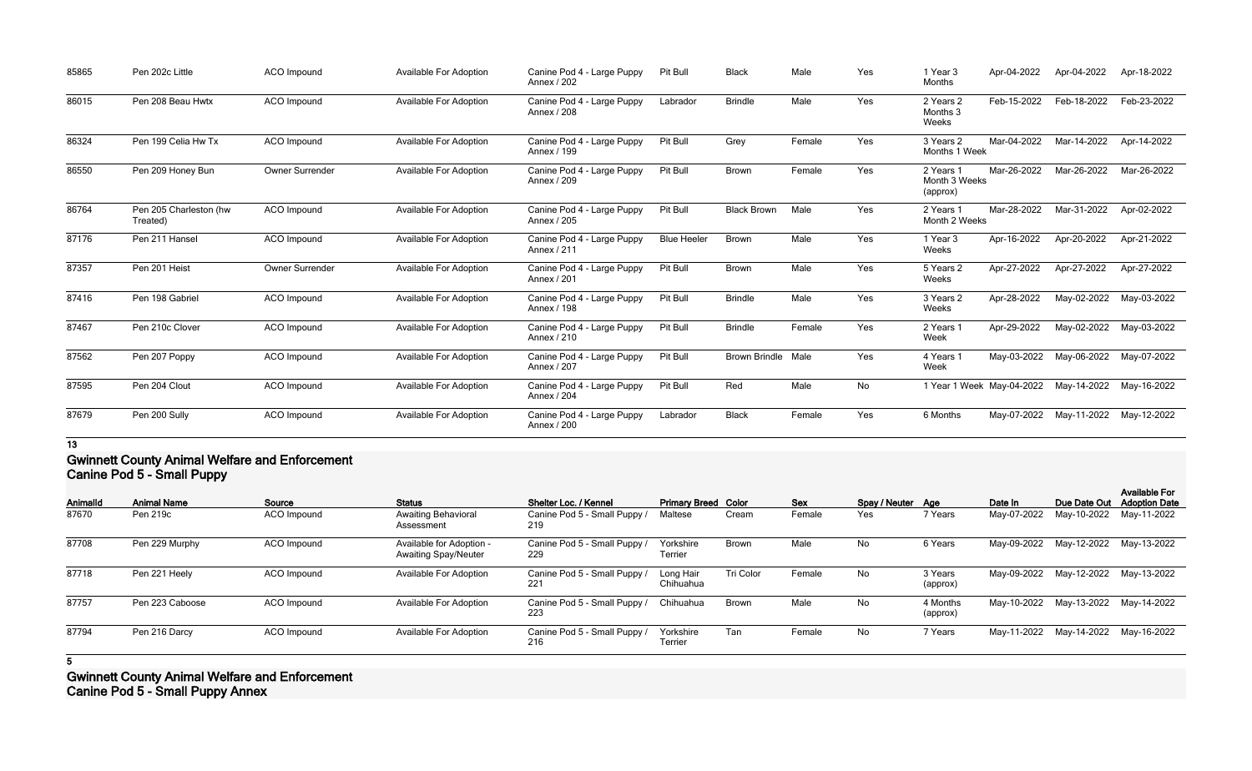| 85865 | Pen 202c Little                    | ACO Impound        | <b>Available For Adoption</b> | Canine Pod 4 - Large Puppy<br>Annex / 202 | Pit Bull           | <b>Black</b>              | Male   | Yes | 1 Year 3<br>Months                     | Apr-04-2022 | Apr-04-2022                           | Apr-18-2022 |
|-------|------------------------------------|--------------------|-------------------------------|-------------------------------------------|--------------------|---------------------------|--------|-----|----------------------------------------|-------------|---------------------------------------|-------------|
| 86015 | Pen 208 Beau Hwtx                  | <b>ACO</b> Impound | <b>Available For Adoption</b> | Canine Pod 4 - Large Puppy<br>Annex / 208 | Labrador           | <b>Brindle</b>            | Male   | Yes | 2 Years 2<br>Months 3<br>Weeks         | Feb-15-2022 | Feb-18-2022                           | Feb-23-2022 |
| 86324 | Pen 199 Celia Hw Tx                | <b>ACO</b> Impound | Available For Adoption        | Canine Pod 4 - Large Puppy<br>Annex / 199 | Pit Bull           | Grey                      | Female | Yes | 3 Years 2<br>Months 1 Week             | Mar-04-2022 | Mar-14-2022                           | Apr-14-2022 |
| 86550 | Pen 209 Honey Bun                  | Owner Surrender    | <b>Available For Adoption</b> | Canine Pod 4 - Large Puppy<br>Annex / 209 | Pit Bull           | Brown                     | Female | Yes | 2 Years 1<br>Month 3 Weeks<br>(approx) | Mar-26-2022 | Mar-26-2022                           | Mar-26-2022 |
| 86764 | Pen 205 Charleston (hw<br>Treated) | ACO Impound        | <b>Available For Adoption</b> | Canine Pod 4 - Large Puppy<br>Annex / 205 | Pit Bull           | <b>Black Brown</b>        | Male   | Yes | 2 Years 1<br>Month 2 Weeks             | Mar-28-2022 | Mar-31-2022                           | Apr-02-2022 |
| 87176 | Pen 211 Hansel                     | <b>ACO</b> Impound | <b>Available For Adoption</b> | Canine Pod 4 - Large Puppy<br>Annex / 211 | <b>Blue Heeler</b> | <b>Brown</b>              | Male   | Yes | 1 Year 3<br>Weeks                      | Apr-16-2022 | Apr-20-2022                           | Apr-21-2022 |
| 87357 | Pen 201 Heist                      | Owner Surrender    | <b>Available For Adoption</b> | Canine Pod 4 - Large Puppy<br>Annex / 201 | Pit Bull           | Brown                     | Male   | Yes | 5 Years 2<br>Weeks                     | Apr-27-2022 | Apr-27-2022                           | Apr-27-2022 |
| 87416 | Pen 198 Gabriel                    | <b>ACO</b> Impound | <b>Available For Adoption</b> | Canine Pod 4 - Large Puppy<br>Annex / 198 | Pit Bull           | <b>Brindle</b>            | Male   | Yes | 3 Years 2<br>Weeks                     | Apr-28-2022 | May-02-2022                           | May-03-2022 |
| 87467 | Pen 210c Clover                    | <b>ACO</b> Impound | Available For Adoption        | Canine Pod 4 - Large Puppy<br>Annex / 210 | Pit Bull           | <b>Brindle</b>            | Female | Yes | 2 Years 1<br>Week                      | Apr-29-2022 | May-02-2022                           | May-03-2022 |
| 87562 | Pen 207 Poppy                      | <b>ACO</b> Impound | <b>Available For Adoption</b> | Canine Pod 4 - Large Puppy<br>Annex / 207 | Pit Bull           | <b>Brown Brindle Male</b> |        | Yes | 4 Years 1<br>Week                      | May-03-2022 | May-06-2022 May-07-2022               |             |
| 87595 | Pen 204 Clout                      | <b>ACO</b> Impound | <b>Available For Adoption</b> | Canine Pod 4 - Large Puppy<br>Annex / 204 | Pit Bull           | Red                       | Male   | No  |                                        |             | 1 Year 1 Week May-04-2022 May-14-2022 | May-16-2022 |
| 87679 | Pen 200 Sully                      | <b>ACO</b> Impound | <b>Available For Adoption</b> | Canine Pod 4 - Large Puppy<br>Annex / 200 | Labrador           | <b>Black</b>              | Female | Yes | 6 Months                               | May-07-2022 | May-11-2022 May-12-2022               |             |

## **Gwinnett County Animal Welfare and Enforcement Canine Pod 5 - Small Puppy**

|                 | .                  |             |                                                         |                                     |                             |              |        |                   |                      |             |              |                                              |
|-----------------|--------------------|-------------|---------------------------------------------------------|-------------------------------------|-----------------------------|--------------|--------|-------------------|----------------------|-------------|--------------|----------------------------------------------|
| <b>Animalld</b> | <b>Animal Name</b> | Source      | <b>Status</b>                                           | Shelter Loc. / Kennel               | <b>Primary Breed Color</b>  |              | Sex    | Spay / Neuter Age |                      | Date In     | Due Date Out | <b>Available For</b><br><b>Adoption Date</b> |
| 87670           | Pen 219c           | ACO Impound | <b>Awaiting Behavioral</b><br>Assessment                | Canine Pod 5 - Small Puppy /<br>219 | Maltese                     | Cream        | Female | Yes               | 7 Years              | May-07-2022 | May-10-2022  | May-11-2022                                  |
| 87708           | Pen 229 Murphy     | ACO Impound | Available for Adoption -<br><b>Awaiting Spay/Neuter</b> | Canine Pod 5 - Small Puppy /<br>229 | Yorkshire<br>Terrier        | <b>Brown</b> | Male   | No                | 6 Years              | May-09-2022 | May-12-2022  | May-13-2022                                  |
| 87718           | Pen 221 Heely      | ACO Impound | <b>Available For Adoption</b>                           | Canine Pod 5 - Small Puppy /<br>221 | Long Hair<br>Chihuahua      | Tri Color    | Female | No                | 3 Years<br>(approx)  | May-09-2022 | May-12-2022  | May-13-2022                                  |
| 87757           | Pen 223 Caboose    | ACO Impound | <b>Available For Adoption</b>                           | Canine Pod 5 - Small Puppy /<br>223 | Chihuahua                   | <b>Brown</b> | Male   | No                | 4 Months<br>(approx) | May-10-2022 | May-13-2022  | May-14-2022                                  |
| 87794           | Pen 216 Darcy      | ACO Impound | <b>Available For Adoption</b>                           | Canine Pod 5 - Small Puppy /<br>216 | Yorkshire<br><b>Terrier</b> | Tan          | Female | No                | 7 Years              | May-11-2022 | May-14-2022  | May-16-2022                                  |

**5**

**Gwinnett County Animal Welfare and Enforcement Canine Pod 5 - Small Puppy Annex**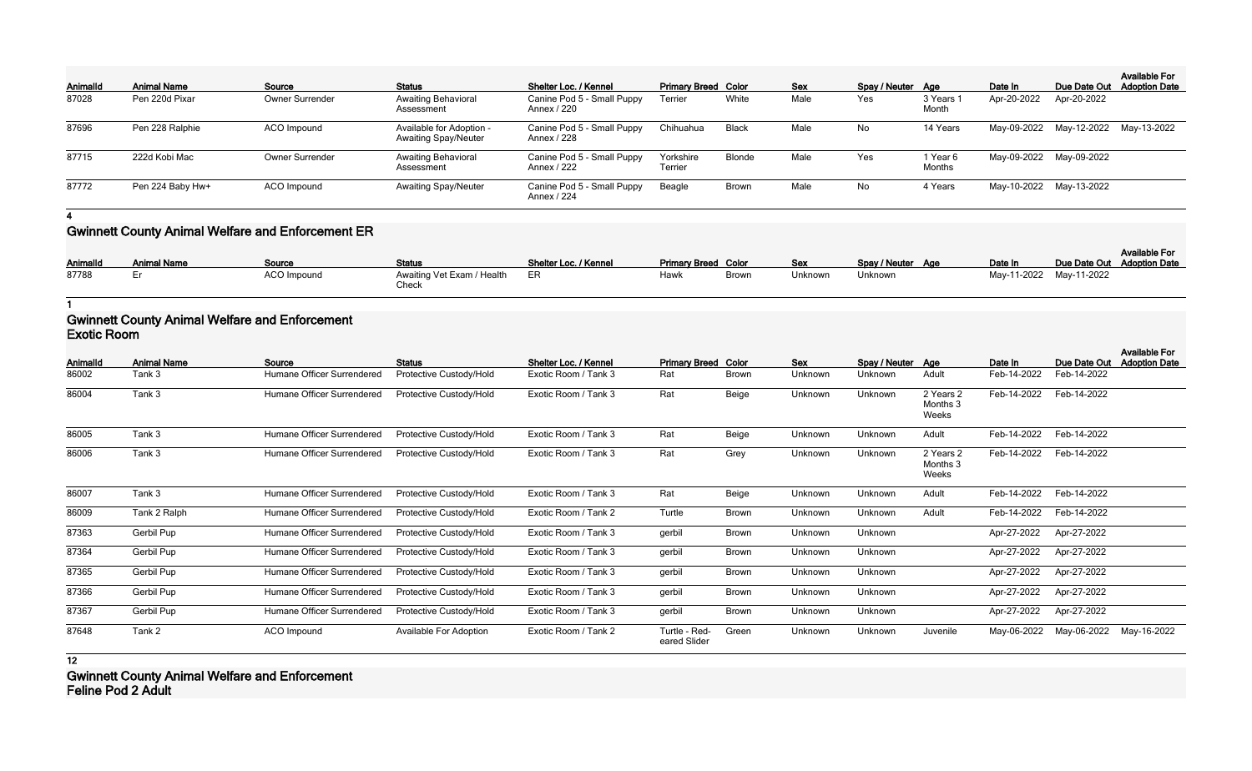| AnimalId | <b>Animal Name</b> | Source                 | <b>Status</b>                                           | Shelter Loc. / Kennel                     | <b>Primary Breed Color</b>  |               | <b>Sex</b> | Spay / Neuter Age |                    | Date In                 | Due Date Out                        | <b>Available For</b><br><b>Adoption Date</b> |
|----------|--------------------|------------------------|---------------------------------------------------------|-------------------------------------------|-----------------------------|---------------|------------|-------------------|--------------------|-------------------------|-------------------------------------|----------------------------------------------|
| 87028    | Pen 220d Pixar     | <b>Owner Surrender</b> | <b>Awaiting Behavioral</b><br>Assessment                | Canine Pod 5 - Small Puppy<br>Annex / 220 | Terrier                     | White         | Male       | Yes               | 3 Years<br>Month   | Apr-20-2022             | Apr-20-2022                         |                                              |
| 87696    | Pen 228 Ralphie    | ACO Impound            | Available for Adoption -<br><b>Awaiting Spay/Neuter</b> | Canine Pod 5 - Small Puppy<br>Annex / 228 | Chihuahua                   | <b>Black</b>  | Male       | No                | 14 Years           |                         | May-09-2022 May-12-2022 May-13-2022 |                                              |
| 87715    | 222d Kobi Mac      | <b>Owner Surrender</b> | <b>Awaiting Behavioral</b><br>Assessment                | Canine Pod 5 - Small Puppy<br>Annex / 222 | Yorkshire<br><b>Terrier</b> | <b>Blonde</b> | Male       | Yes               | 1 Year 6<br>Months | May-09-2022 May-09-2022 |                                     |                                              |
| 87772    | Pen 224 Baby Hw+   | ACO Impound            | <b>Awaiting Spay/Neuter</b>                             | Canine Pod 5 - Small Puppy<br>Annex / 224 | Beagle                      | <b>Brown</b>  | Male       | No                | 4 Years            | May-10-2022 May-13-2022 |                                     |                                              |

# **Gwinnett County Animal Welfare and Enforcement ER**

| <b>AnimalId</b> | <b>Animal Name</b> | Source      | <b>Status</b>                       | Shelter Loc. / Kennel | <b>Primary Breed Color</b> |              | <b>Sex</b> | Spay / Neuter Age | Date In                 | Due Date Out Adoption Date | <b>Available For</b> |
|-----------------|--------------------|-------------|-------------------------------------|-----------------------|----------------------------|--------------|------------|-------------------|-------------------------|----------------------------|----------------------|
| 87788           |                    | ACO Impound | Awaiting Vet Exam / Health<br>Check | ER                    | Hawk                       | <b>Browr</b> | Jnknown    | Unknown           | May-11-2022 May-11-2022 |                            |                      |

**1**

## **Gwinnett County Animal Welfare and Enforcement Exotic Room**

| Animalld | <b>Animal Name</b> | Source                     | <b>Status</b>                 | Shelter Loc. / Kennel | <b>Primary Breed Color</b>    |              | Sex            | Spay / Neuter | Age                            | Date In     | Due Date Out | <b>Available For</b><br><b>Adoption Date</b> |
|----------|--------------------|----------------------------|-------------------------------|-----------------------|-------------------------------|--------------|----------------|---------------|--------------------------------|-------------|--------------|----------------------------------------------|
| 86002    | Tank 3             | Humane Officer Surrendered | Protective Custody/Hold       | Exotic Room / Tank 3  | Rat                           | <b>Brown</b> | <b>Unknown</b> | Unknown       | Adult                          | Feb-14-2022 | Feb-14-2022  |                                              |
| 86004    | Tank 3             | Humane Officer Surrendered | Protective Custody/Hold       | Exotic Room / Tank 3  | Rat                           | Beige        | Unknown        | Unknown       | 2 Years 2<br>Months 3<br>Weeks | Feb-14-2022 | Feb-14-2022  |                                              |
| 86005    | Tank 3             | Humane Officer Surrendered | Protective Custody/Hold       | Exotic Room / Tank 3  | Rat                           | Beige        | Unknown        | Unknown       | Adult                          | Feb-14-2022 | Feb-14-2022  |                                              |
| 86006    | Tank 3             | Humane Officer Surrendered | Protective Custody/Hold       | Exotic Room / Tank 3  | Rat                           | Grey         | Unknown        | Unknown       | 2 Years 2<br>Months 3<br>Weeks | Feb-14-2022 | Feb-14-2022  |                                              |
| 86007    | Tank 3             | Humane Officer Surrendered | Protective Custody/Hold       | Exotic Room / Tank 3  | Rat                           | Beige        | Unknown        | Unknown       | Adult                          | Feb-14-2022 | Feb-14-2022  |                                              |
| 86009    | Tank 2 Ralph       | Humane Officer Surrendered | Protective Custody/Hold       | Exotic Room / Tank 2  | Turtle                        | <b>Brown</b> | Unknown        | Unknown       | Adult                          | Feb-14-2022 | Feb-14-2022  |                                              |
| 87363    | Gerbil Pup         | Humane Officer Surrendered | Protective Custody/Hold       | Exotic Room / Tank 3  | gerbil                        | <b>Brown</b> | Unknown        | Unknown       |                                | Apr-27-2022 | Apr-27-2022  |                                              |
| 87364    | Gerbil Pup         | Humane Officer Surrendered | Protective Custody/Hold       | Exotic Room / Tank 3  | gerbil                        | <b>Brown</b> | Unknown        | Unknown       |                                | Apr-27-2022 | Apr-27-2022  |                                              |
| 87365    | Gerbil Pup         | Humane Officer Surrendered | Protective Custody/Hold       | Exotic Room / Tank 3  | gerbil                        | <b>Brown</b> | Unknown        | Unknown       |                                | Apr-27-2022 | Apr-27-2022  |                                              |
| 87366    | Gerbil Pup         | Humane Officer Surrendered | Protective Custody/Hold       | Exotic Room / Tank 3  | gerbil                        | <b>Brown</b> | Unknown        | Unknown       |                                | Apr-27-2022 | Apr-27-2022  |                                              |
| 87367    | Gerbil Pup         | Humane Officer Surrendered | Protective Custody/Hold       | Exotic Room / Tank 3  | gerbil                        | <b>Brown</b> | Unknown        | Unknown       |                                | Apr-27-2022 | Apr-27-2022  |                                              |
| 87648    | Tank 2             | ACO Impound                | <b>Available For Adoption</b> | Exotic Room / Tank 2  | Turtle - Red-<br>eared Slider | Green        | Unknown        | Unknown       | Juvenile                       | May-06-2022 | May-06-2022  | May-16-2022                                  |

**12**

**Gwinnett County Animal Welfare and Enforcement Feline Pod 2 Adult**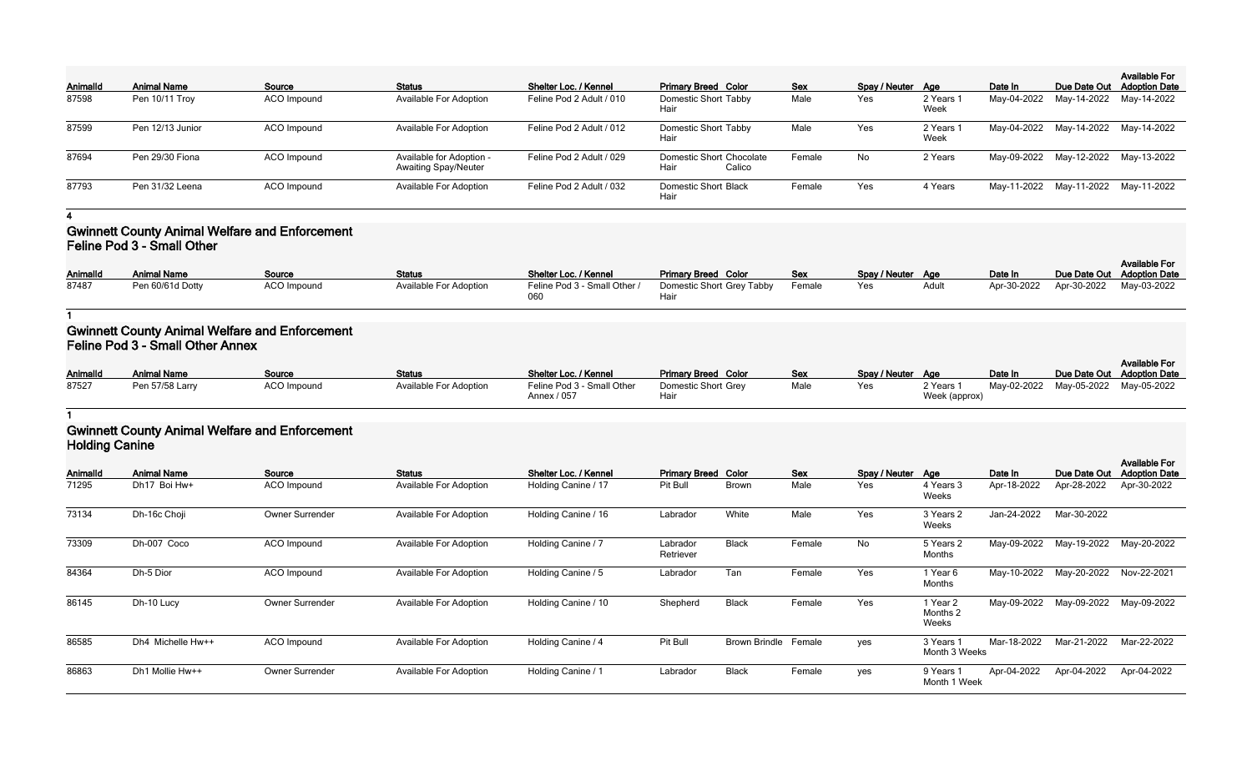| <b>AnimalId</b> | <b>Animal Name</b> | Source             | <b>Status</b>                                           | Shelter Loc. / Kennel    | <b>Primary Breed Color</b>                 | <b>Sex</b> | Spay / Neuter Age |                   | Date In | Due Date Out                        | <b>Available For</b><br><b>Adoption Date</b> |
|-----------------|--------------------|--------------------|---------------------------------------------------------|--------------------------|--------------------------------------------|------------|-------------------|-------------------|---------|-------------------------------------|----------------------------------------------|
| 87598           | Pen 10/11 Troy     | ACO Impound        | <b>Available For Adoption</b>                           | Feline Pod 2 Adult / 010 | <b>Domestic Short Tabby</b><br>Hair        | Male       | Yes               | 2 Years 1<br>Week |         | May-04-2022 May-14-2022 May-14-2022 |                                              |
| 87599           | Pen 12/13 Junior   | <b>ACO</b> Impound | <b>Available For Adoption</b>                           | Feline Pod 2 Adult / 012 | <b>Domestic Short Tabby</b><br>Hair        | Male       | Yes               | 2 Years 1<br>Week |         | May-04-2022 May-14-2022 May-14-2022 |                                              |
| 87694           | Pen 29/30 Fiona    | <b>ACO</b> Impound | Available for Adoption -<br><b>Awaiting Spay/Neuter</b> | Feline Pod 2 Adult / 029 | Domestic Short Chocolate<br>Hair<br>Calico | Female     | No                | 2 Years           |         | May-09-2022 May-12-2022 May-13-2022 |                                              |
| 87793           | Pen 31/32 Leena    | ACO Impound        | <b>Available For Adoption</b>                           | Feline Pod 2 Adult / 032 | <b>Domestic Short Black</b><br>Hair        | Female     | Yes               | 4 Years           |         | May-11-2022 May-11-2022 May-11-2022 |                                              |

### **Gwinnett County Animal Welfare and Enforcement Feline Pod 3 - Small Other**

|                 |                    |               |                               |                              |                            |            |                   |       |         |                                     | <b>Available For</b> |
|-----------------|--------------------|---------------|-------------------------------|------------------------------|----------------------------|------------|-------------------|-------|---------|-------------------------------------|----------------------|
| <b>AnimalId</b> | <b>Animal Name</b> | <u>Source</u> | <b>Status</b>                 | Shelter Loc. / Kennel        | <b>Primary Breed Color</b> | <b>Sex</b> | Spay / Neuter Age |       | Date In | Due Date Out Adoption Date          |                      |
| 87487           | Pen 60/61d Dotty   | ACO Impound   | <b>Available For Adoption</b> | Feline Pod 3 - Small Other / | Domestic Short Grey Tabby  | Female     | Yes               | Adult |         | Apr-30-2022 Apr-30-2022 May-03-2022 |                      |
|                 |                    |               |                               |                              | Hair                       |            |                   |       |         |                                     |                      |

**1**

## **Gwinnett County Animal Welfare and Enforcement Feline Pod 3 - Small Other Annex**

| AnimalId | Animal Name     | Source             | <b>Status</b>                 | Shelter Loc. / Kennel                     | <b>Primary Breed Color</b>  | <b>Sex</b> | Spay / Neuter Age |                            | Date In                             | <b>Available For</b><br>Due Date Out Adoption Date |
|----------|-----------------|--------------------|-------------------------------|-------------------------------------------|-----------------------------|------------|-------------------|----------------------------|-------------------------------------|----------------------------------------------------|
| 87527    | Pen 57/58 Larry | <b>ACO Impound</b> | <b>Available For Adoption</b> | Feline Pod 3 - Small Other<br>Annex / 057 | Domestic Short Grey<br>Hair | Male       | Yes               | 2 Years 1<br>Week (approx) | May-02-2022 May-05-2022 May-05-2022 |                                                    |

# **1 Gwinnett County Animal Welfare and Enforcement**

**Holding Canine**

| Animalld | <b>Animal Name</b> | Source                 | <b>Status</b>                 | Shelter Loc. / Kennel | <b>Primary Breed Color</b> |                      | Sex    | Spay / Neuter Age |                               | Date In     | Due Date Out | <b>Available For</b><br><b>Adoption Date</b> |
|----------|--------------------|------------------------|-------------------------------|-----------------------|----------------------------|----------------------|--------|-------------------|-------------------------------|-------------|--------------|----------------------------------------------|
| 71295    | Dh17 Boi Hw+       | ACO Impound            | <b>Available For Adoption</b> | Holding Canine / 17   | Pit Bull                   | <b>Brown</b>         | Male   | Yes               | 4 Years 3<br>Weeks            | Apr-18-2022 | Apr-28-2022  | Apr-30-2022                                  |
| 73134    | Dh-16c Choji       | Owner Surrender        | <b>Available For Adoption</b> | Holding Canine / 16   | Labrador                   | White                | Male   | Yes               | 3 Years 2<br>Weeks            | Jan-24-2022 | Mar-30-2022  |                                              |
| 73309    | Dh-007 Coco        | ACO Impound            | <b>Available For Adoption</b> | Holding Canine / 7    | Labrador<br>Retriever      | <b>Black</b>         | Female | No                | 5 Years 2<br>Months           | May-09-2022 | May-19-2022  | May-20-2022                                  |
| 84364    | Dh-5 Dior          | ACO Impound            | <b>Available For Adoption</b> | Holding Canine / 5    | Labrador                   | Tan                  | Female | Yes               | 1 Year 6<br>Months            | May-10-2022 | May-20-2022  | Nov-22-2021                                  |
| 86145    | Dh-10 Lucy         | <b>Owner Surrender</b> | <b>Available For Adoption</b> | Holding Canine / 10   | Shepherd                   | <b>Black</b>         | Female | Yes               | 1 Year 2<br>Months 2<br>Weeks | May-09-2022 | May-09-2022  | May-09-2022                                  |
| 86585    | Dh4 Michelle Hw++  | ACO Impound            | <b>Available For Adoption</b> | Holding Canine / 4    | Pit Bull                   | <b>Brown Brindle</b> | Female | yes               | 3 Years 1<br>Month 3 Weeks    | Mar-18-2022 | Mar-21-2022  | Mar-22-2022                                  |
| 86863    | Dh1 Mollie Hw++    | <b>Owner Surrender</b> | <b>Available For Adoption</b> | Holding Canine / 1    | Labrador                   | <b>Black</b>         | Female | yes               | 9 Years 1<br>Month 1 Week     | Apr-04-2022 | Apr-04-2022  | Apr-04-2022                                  |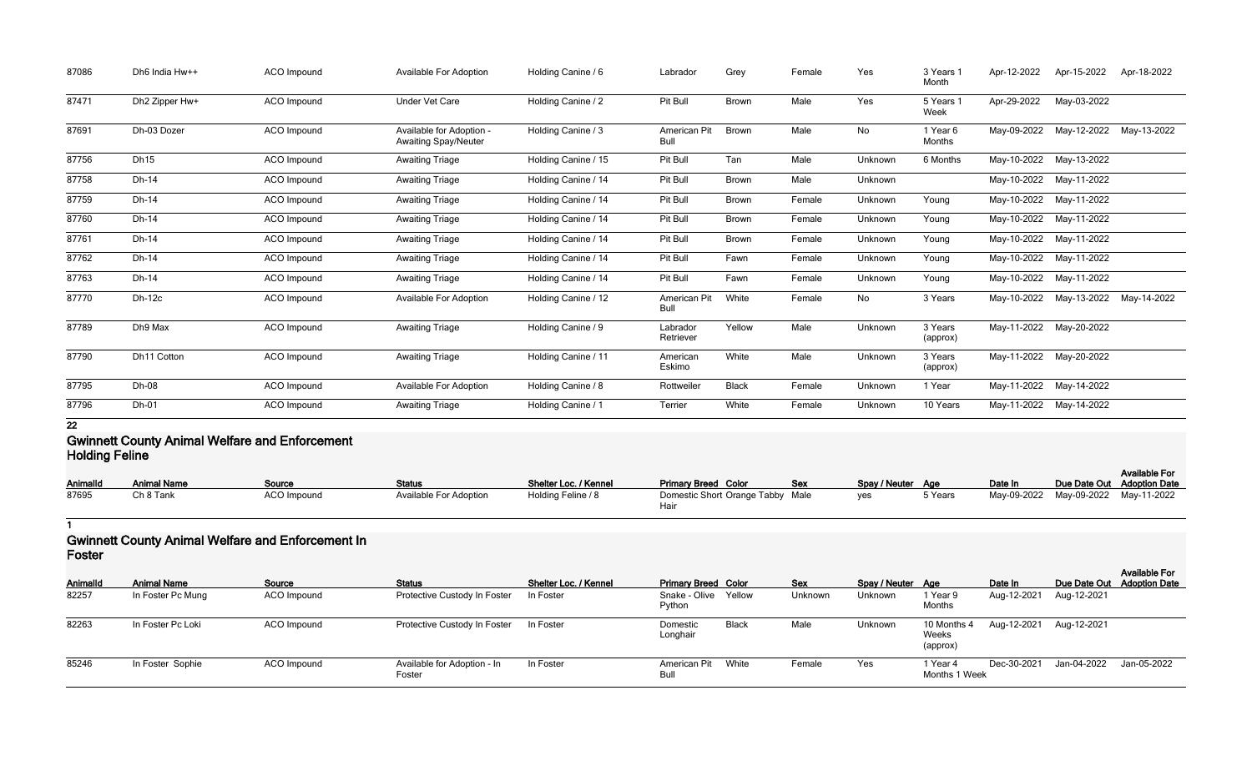| 87086 | Dh6 India Hw++ | <b>ACO</b> Impound | <b>Available For Adoption</b>                           | Holding Canine / 6  | Labrador              | Grey         | Female | Yes     | 3 Years 1<br>Month  | Apr-12-2022 | Apr-15-2022 | Apr-18-2022 |
|-------|----------------|--------------------|---------------------------------------------------------|---------------------|-----------------------|--------------|--------|---------|---------------------|-------------|-------------|-------------|
| 87471 | Dh2 Zipper Hw+ | ACO Impound        | <b>Under Vet Care</b>                                   | Holding Canine / 2  | Pit Bull              | <b>Brown</b> | Male   | Yes     | 5 Years 1<br>Week   | Apr-29-2022 | May-03-2022 |             |
| 87691 | Dh-03 Dozer    | ACO Impound        | Available for Adoption -<br><b>Awaiting Spay/Neuter</b> | Holding Canine / 3  | American Pit<br>Bull  | Brown        | Male   | No      | 1 Year 6<br>Months  | May-09-2022 | May-12-2022 | May-13-2022 |
| 87756 | Dh15           | ACO Impound        | <b>Awaiting Triage</b>                                  | Holding Canine / 15 | Pit Bull              | Tan          | Male   | Unknown | 6 Months            | May-10-2022 | May-13-2022 |             |
| 87758 | Dh-14          | ACO Impound        | <b>Awaiting Triage</b>                                  | Holding Canine / 14 | Pit Bull              | <b>Brown</b> | Male   | Unknown |                     | May-10-2022 | May-11-2022 |             |
| 87759 | Dh-14          | ACO Impound        | <b>Awaiting Triage</b>                                  | Holding Canine / 14 | Pit Bull              | <b>Brown</b> | Female | Unknown | Young               | May-10-2022 | May-11-2022 |             |
| 87760 | Dh-14          | ACO Impound        | <b>Awaiting Triage</b>                                  | Holding Canine / 14 | Pit Bull              | <b>Brown</b> | Female | Unknown | Young               | May-10-2022 | May-11-2022 |             |
| 87761 | Dh-14          | <b>ACO</b> Impound | <b>Awaiting Triage</b>                                  | Holding Canine / 14 | Pit Bull              | <b>Brown</b> | Female | Unknown | Young               | May-10-2022 | May-11-2022 |             |
| 87762 | Dh-14          | ACO Impound        | <b>Awaiting Triage</b>                                  | Holding Canine / 14 | Pit Bull              | Fawn         | Female | Unknown | Young               | May-10-2022 | May-11-2022 |             |
| 87763 | Dh-14          | ACO Impound        | <b>Awaiting Triage</b>                                  | Holding Canine / 14 | Pit Bull              | Fawn         | Female | Unknown | Young               | May-10-2022 | May-11-2022 |             |
| 87770 | $Dh-12c$       | <b>ACO</b> Impound | <b>Available For Adoption</b>                           | Holding Canine / 12 | American Pit<br>Bull  | White        | Female | No      | 3 Years             | May-10-2022 | May-13-2022 | May-14-2022 |
| 87789 | Dh9 Max        | ACO Impound        | <b>Awaiting Triage</b>                                  | Holding Canine / 9  | Labrador<br>Retriever | Yellow       | Male   | Unknown | 3 Years<br>(approx) | May-11-2022 | May-20-2022 |             |
| 87790 | Dh11 Cotton    | ACO Impound        | <b>Awaiting Triage</b>                                  | Holding Canine / 11 | American<br>Eskimo    | White        | Male   | Unknown | 3 Years<br>(approx) | May-11-2022 | May-20-2022 |             |
| 87795 | Dh-08          | ACO Impound        | <b>Available For Adoption</b>                           | Holding Canine / 8  | Rottweiler            | <b>Black</b> | Female | Unknown | 1 Year              | May-11-2022 | May-14-2022 |             |
| 87796 | Dh-01          | ACO Impound        | <b>Awaiting Triage</b>                                  | Holding Canine / 1  | <b>Terrier</b>        | White        | Female | Unknown | 10 Years            | May-11-2022 | May-14-2022 |             |

### **Gwinnett County Animal Welfare and Enforcement Holding Feline**

|                 |                    |                    |                               |                       |                                  |            |                   |         |         |                            | <b>Available For</b>                |
|-----------------|--------------------|--------------------|-------------------------------|-----------------------|----------------------------------|------------|-------------------|---------|---------|----------------------------|-------------------------------------|
| <b>AnimalId</b> | <b>Animal Name</b> | Source             | <b>Status</b>                 | Shelter Loc. / Kennel | <b>Primary Breed Color</b>       | <b>Sex</b> | Spay / Neuter Age |         | Date In | Due Date Out Adoption Date |                                     |
| 87695           | Ch 8 Tank          | <b>ACO</b> Impound | <b>Available For Adoption</b> | Holding Feline / 8    | Domestic Short Orange Tabby Male |            | ves               | 5 Years |         |                            | May-09-2022 May-09-2022 May-11-2022 |
|                 |                    |                    |                               |                       | Hai                              |            |                   |         |         |                            |                                     |

**1**

## **Gwinnett County Animal Welfare and Enforcement In Foster**

| <b>LOSIGI</b>            |                                         |                       |                                               |                                    |                                                              |              |                |                              |                                  |                                    |             |                                                    |
|--------------------------|-----------------------------------------|-----------------------|-----------------------------------------------|------------------------------------|--------------------------------------------------------------|--------------|----------------|------------------------------|----------------------------------|------------------------------------|-------------|----------------------------------------------------|
| <b>AnimalId</b><br>82257 | <b>Animal Name</b><br>In Foster Pc Mung | Source<br>ACO Impound | <b>Status</b><br>Protective Custody In Foster | Shelter Loc. / Kennel<br>In Foster | <b>Primary Breed Color</b><br>Snake - Olive Yellow<br>Python |              | Sex<br>Unknown | Spay / Neuter Age<br>Unknown | 1 Year 9<br>Months               | Date In<br>Aug-12-2021 Aug-12-2021 |             | <b>Available For</b><br>Due Date Out Adoption Date |
| 82263                    | In Foster Pc Loki                       | ACO Impound           | Protective Custody In Foster                  | In Foster                          | Domestic<br>Longhair                                         | <b>Black</b> | Male           | Unknown                      | 10 Months 4<br>Weeks<br>(approx) | Aug-12-2021 Aug-12-2021            |             |                                                    |
| 85246                    | In Foster Sophie                        | ACO Impound           | Available for Adoption - In<br>Foster         | In Foster                          | American Pit<br>Bull                                         | White        | Female         | Yes                          | Year 4<br>Months 1 Week          | Dec-30-2021                        | Jan-04-2022 | Jan-05-2022                                        |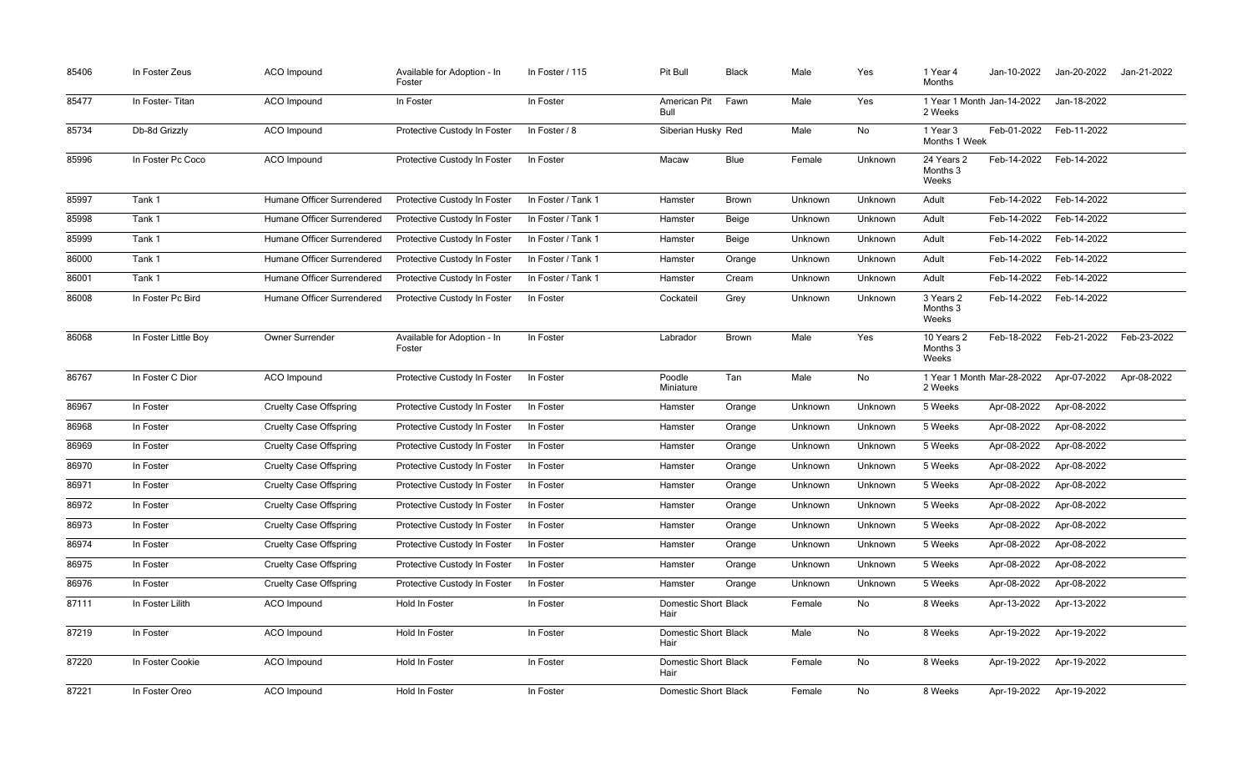| 85406 | In Foster Zeus       | <b>ACO</b> Impound            | Available for Adoption - In<br>Foster | In Foster / 115    | Pit Bull                            | <b>Black</b> | Male    | Yes     | 1 Year 4<br>Months                    | Jan-10-2022 | Jan-20-2022 | Jan-21-2022 |
|-------|----------------------|-------------------------------|---------------------------------------|--------------------|-------------------------------------|--------------|---------|---------|---------------------------------------|-------------|-------------|-------------|
| 85477 | In Foster-Titan      | <b>ACO</b> Impound            | In Foster                             | In Foster          | American Pit<br>Bull                | Fawn         | Male    | Yes     | 1 Year 1 Month Jan-14-2022<br>2 Weeks |             | Jan-18-2022 |             |
| 85734 | Db-8d Grizzly        | ACO Impound                   | Protective Custody In Foster          | In Foster / 8      | Siberian Husky Red                  |              | Male    | No      | 1 Year 3<br>Months 1 Week             | Feb-01-2022 | Feb-11-2022 |             |
| 85996 | In Foster Pc Coco    | <b>ACO</b> Impound            | Protective Custody In Foster          | In Foster          | Macaw                               | <b>Blue</b>  | Female  | Unknown | 24 Years 2<br>Months 3<br>Weeks       | Feb-14-2022 | Feb-14-2022 |             |
| 85997 | Tank 1               | Humane Officer Surrendered    | Protective Custody In Foster          | In Foster / Tank 1 | Hamster                             | Brown        | Unknown | Unknown | Adult                                 | Feb-14-2022 | Feb-14-2022 |             |
| 85998 | Tank 1               | Humane Officer Surrendered    | Protective Custody In Foster          | In Foster / Tank 1 | Hamster                             | <b>Beige</b> | Unknown | Unknown | Adult                                 | Feb-14-2022 | Feb-14-2022 |             |
| 85999 | Tank 1               | Humane Officer Surrendered    | Protective Custody In Foster          | In Foster / Tank 1 | Hamster                             | Beige        | Unknown | Unknown | Adult                                 | Feb-14-2022 | Feb-14-2022 |             |
| 86000 | Tank 1               | Humane Officer Surrendered    | Protective Custody In Foster          | In Foster / Tank 1 | Hamster                             | Orange       | Unknown | Unknown | Adult                                 | Feb-14-2022 | Feb-14-2022 |             |
| 86001 | Tank 1               | Humane Officer Surrendered    | Protective Custody In Foster          | In Foster / Tank 1 | Hamster                             | Cream        | Unknown | Unknown | Adult                                 | Feb-14-2022 | Feb-14-2022 |             |
| 86008 | In Foster Pc Bird    | Humane Officer Surrendered    | Protective Custody In Foster          | In Foster          | Cockateil                           | Grey         | Unknown | Unknown | 3 Years 2<br>Months 3<br>Weeks        | Feb-14-2022 | Feb-14-2022 |             |
| 86068 | In Foster Little Boy | Owner Surrender               | Available for Adoption - In<br>Foster | In Foster          | Labrador                            | Brown        | Male    | Yes     | 10 Years 2<br>Months 3<br>Weeks       | Feb-18-2022 | Feb-21-2022 | Feb-23-2022 |
| 86767 | In Foster C Dior     | <b>ACO</b> Impound            | Protective Custody In Foster          | In Foster          | Poodle<br>Miniature                 | Tan          | Male    | No      | 1 Year 1 Month Mar-28-2022<br>2 Weeks |             | Apr-07-2022 | Apr-08-2022 |
| 86967 | In Foster            | <b>Cruelty Case Offspring</b> | Protective Custody In Foster          | In Foster          | Hamster                             | Orange       | Unknown | Unknown | 5 Weeks                               | Apr-08-2022 | Apr-08-2022 |             |
| 86968 | In Foster            | <b>Cruelty Case Offspring</b> | Protective Custody In Foster          | In Foster          | Hamster                             | Orange       | Unknown | Unknown | 5 Weeks                               | Apr-08-2022 | Apr-08-2022 |             |
| 86969 | In Foster            | <b>Cruelty Case Offspring</b> | Protective Custody In Foster          | In Foster          | Hamster                             | Orange       | Unknown | Unknown | 5 Weeks                               | Apr-08-2022 | Apr-08-2022 |             |
| 86970 | In Foster            | <b>Cruelty Case Offspring</b> | Protective Custody In Foster          | In Foster          | Hamster                             | Orange       | Unknown | Unknown | 5 Weeks                               | Apr-08-2022 | Apr-08-2022 |             |
| 86971 | In Foster            | <b>Cruelty Case Offspring</b> | Protective Custody In Foster          | In Foster          | Hamster                             | Orange       | Unknown | Unknown | 5 Weeks                               | Apr-08-2022 | Apr-08-2022 |             |
| 86972 | In Foster            | <b>Cruelty Case Offspring</b> | Protective Custody In Foster          | In Foster          | Hamster                             | Orange       | Unknown | Unknown | 5 Weeks                               | Apr-08-2022 | Apr-08-2022 |             |
| 86973 | In Foster            | <b>Cruelty Case Offspring</b> | Protective Custody In Foster          | In Foster          | Hamster                             | Orange       | Unknown | Unknown | 5 Weeks                               | Apr-08-2022 | Apr-08-2022 |             |
| 86974 | In Foster            | <b>Cruelty Case Offspring</b> | Protective Custody In Foster          | In Foster          | Hamster                             | Orange       | Unknown | Unknown | 5 Weeks                               | Apr-08-2022 | Apr-08-2022 |             |
| 86975 | In Foster            | <b>Cruelty Case Offspring</b> | Protective Custody In Foster          | In Foster          | Hamster                             | Orange       | Unknown | Unknown | 5 Weeks                               | Apr-08-2022 | Apr-08-2022 |             |
| 86976 | In Foster            | <b>Cruelty Case Offspring</b> | Protective Custody In Foster          | In Foster          | Hamster                             | Orange       | Unknown | Unknown | 5 Weeks                               | Apr-08-2022 | Apr-08-2022 |             |
| 87111 | In Foster Lilith     | <b>ACO Impound</b>            | Hold In Foster                        | In Foster          | Domestic Short Black<br>Hair        |              | Female  | No      | 8 Weeks                               | Apr-13-2022 | Apr-13-2022 |             |
| 87219 | In Foster            | <b>ACO Impound</b>            | Hold In Foster                        | In Foster          | Domestic Short Black<br>Hair        |              | Male    | No      | 8 Weeks                               | Apr-19-2022 | Apr-19-2022 |             |
| 87220 | In Foster Cookie     | ACO Impound                   | Hold In Foster                        | In Foster          | <b>Domestic Short Black</b><br>Hair |              | Female  | No      | 8 Weeks                               | Apr-19-2022 | Apr-19-2022 |             |
| 87221 | In Foster Oreo       | <b>ACO Impound</b>            | Hold In Foster                        | In Foster          | Domestic Short Black                |              | Female  | No      | 8 Weeks                               | Apr-19-2022 | Apr-19-2022 |             |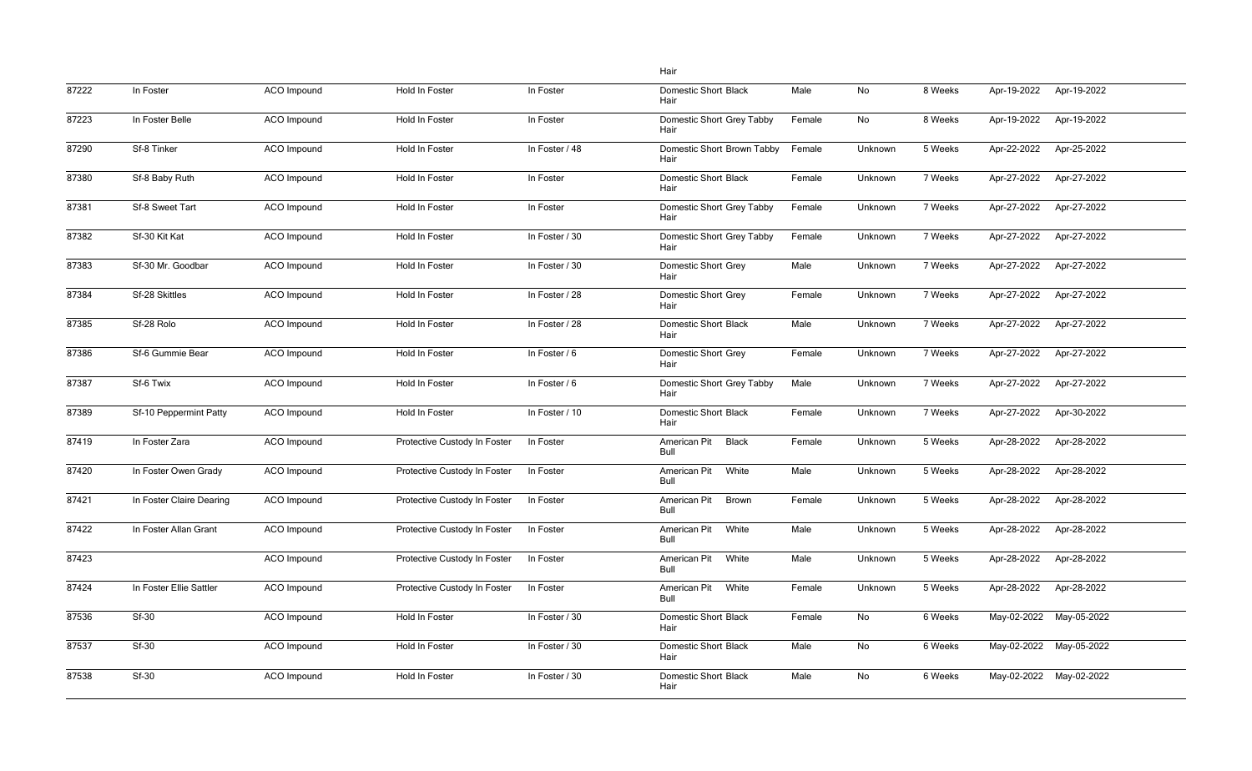|       |                          |                    |                              |                | Hair                                 |        |         |         |             |                         |
|-------|--------------------------|--------------------|------------------------------|----------------|--------------------------------------|--------|---------|---------|-------------|-------------------------|
| 87222 | In Foster                | ACO Impound        | Hold In Foster               | In Foster      | <b>Domestic Short Black</b><br>Hair  | Male   | No      | 8 Weeks | Apr-19-2022 | Apr-19-2022             |
| 87223 | In Foster Belle          | ACO Impound        | Hold In Foster               | In Foster      | Domestic Short Grey Tabby<br>Hair    | Female | No      | 8 Weeks | Apr-19-2022 | Apr-19-2022             |
| 87290 | Sf-8 Tinker              | ACO Impound        | Hold In Foster               | In Foster / 48 | Domestic Short Brown Tabby<br>Hair   | Female | Unknown | 5 Weeks | Apr-22-2022 | Apr-25-2022             |
| 87380 | Sf-8 Baby Ruth           | ACO Impound        | Hold In Foster               | In Foster      | <b>Domestic Short Black</b><br>Hair  | Female | Unknown | 7 Weeks | Apr-27-2022 | Apr-27-2022             |
| 87381 | Sf-8 Sweet Tart          | ACO Impound        | Hold In Foster               | In Foster      | Domestic Short Grey Tabby<br>Hair    | Female | Unknown | 7 Weeks | Apr-27-2022 | Apr-27-2022             |
| 87382 | Sf-30 Kit Kat            | ACO Impound        | Hold In Foster               | In Foster / 30 | Domestic Short Grey Tabby<br>Hair    | Female | Unknown | 7 Weeks | Apr-27-2022 | Apr-27-2022             |
| 87383 | Sf-30 Mr. Goodbar        | ACO Impound        | Hold In Foster               | In Foster / 30 | <b>Domestic Short Grey</b><br>Hair   | Male   | Unknown | 7 Weeks | Apr-27-2022 | Apr-27-2022             |
| 87384 | Sf-28 Skittles           | ACO Impound        | Hold In Foster               | In Foster / 28 | <b>Domestic Short Grey</b><br>Hair   | Female | Unknown | 7 Weeks | Apr-27-2022 | Apr-27-2022             |
| 87385 | Sf-28 Rolo               | ACO Impound        | Hold In Foster               | In Foster / 28 | <b>Domestic Short Black</b><br>Hair  | Male   | Unknown | 7 Weeks | Apr-27-2022 | Apr-27-2022             |
| 87386 | Sf-6 Gummie Bear         | ACO Impound        | Hold In Foster               | In Foster / 6  | <b>Domestic Short Grey</b><br>Hair   | Female | Unknown | 7 Weeks | Apr-27-2022 | Apr-27-2022             |
| 87387 | Sf-6 Twix                | ACO Impound        | Hold In Foster               | In Foster / 6  | Domestic Short Grey Tabby<br>Hair    | Male   | Unknown | 7 Weeks | Apr-27-2022 | Apr-27-2022             |
| 87389 | Sf-10 Peppermint Patty   | ACO Impound        | Hold In Foster               | In Foster / 10 | <b>Domestic Short Black</b><br>Hair  | Female | Unknown | 7 Weeks | Apr-27-2022 | Apr-30-2022             |
| 87419 | In Foster Zara           | ACO Impound        | Protective Custody In Foster | In Foster      | American Pit<br><b>Black</b><br>Bull | Female | Unknown | 5 Weeks | Apr-28-2022 | Apr-28-2022             |
| 87420 | In Foster Owen Grady     | ACO Impound        | Protective Custody In Foster | In Foster      | American Pit<br>White<br>Bull        | Male   | Unknown | 5 Weeks | Apr-28-2022 | Apr-28-2022             |
| 87421 | In Foster Claire Dearing | <b>ACO</b> Impound | Protective Custody In Foster | In Foster      | American Pit<br><b>Brown</b><br>Bull | Female | Unknown | 5 Weeks | Apr-28-2022 | Apr-28-2022             |
| 87422 | In Foster Allan Grant    | ACO Impound        | Protective Custody In Foster | In Foster      | American Pit<br>White<br>Bull        | Male   | Unknown | 5 Weeks | Apr-28-2022 | Apr-28-2022             |
| 87423 |                          | ACO Impound        | Protective Custody In Foster | In Foster      | American Pit<br>White<br>Bull        | Male   | Unknown | 5 Weeks | Apr-28-2022 | Apr-28-2022             |
| 87424 | In Foster Ellie Sattler  | ACO Impound        | Protective Custody In Foster | In Foster      | American Pit<br>White<br>Bull        | Female | Unknown | 5 Weeks | Apr-28-2022 | Apr-28-2022             |
| 87536 | Sf-30                    | ACO Impound        | Hold In Foster               | In Foster / 30 | <b>Domestic Short Black</b><br>Hair  | Female | No      | 6 Weeks | May-02-2022 | May-05-2022             |
| 87537 | <b>Sf-30</b>             | ACO Impound        | Hold In Foster               | In Foster / 30 | <b>Domestic Short Black</b><br>Hair  | Male   | No      | 6 Weeks | May-02-2022 | May-05-2022             |
| 87538 | Sf-30                    | ACO Impound        | Hold In Foster               | In Foster / 30 | <b>Domestic Short Black</b><br>Hair  | Male   | No      | 6 Weeks |             | May-02-2022 May-02-2022 |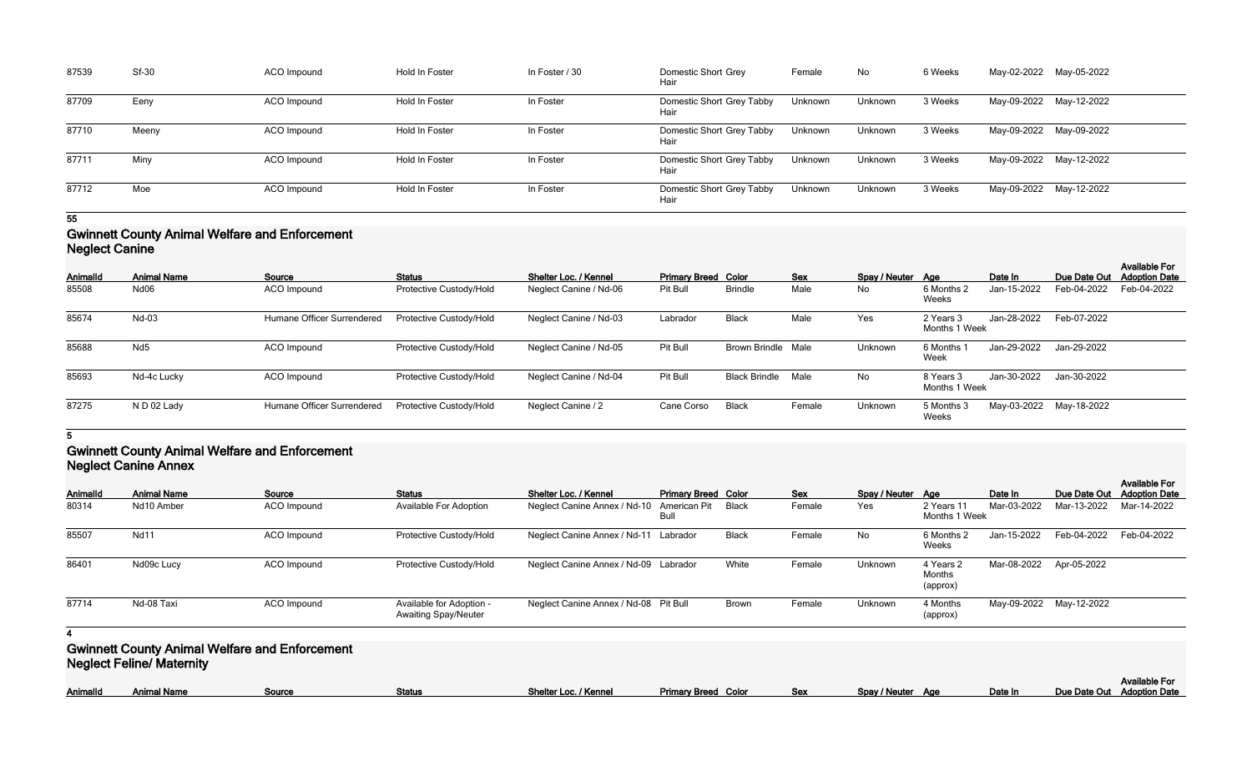| 87539 | <b>Sf-30</b> | ACO Impound | Hold In Foster | In Foster / 30 | Domestic Short Grey<br>Hair       | Female  | No      | 6 Weeks | May-02-2022 May-05-2022 |  |
|-------|--------------|-------------|----------------|----------------|-----------------------------------|---------|---------|---------|-------------------------|--|
| 87709 | Eeny         | ACO Impound | Hold In Foster | In Foster      | Domestic Short Grey Tabby<br>Hair | Unknown | Unknown | 3 Weeks | May-09-2022 May-12-2022 |  |
| 87710 | Meeny        | ACO Impound | Hold In Foster | In Foster      | Domestic Short Grey Tabby<br>Hair | Unknown | Unknown | 3 Weeks | May-09-2022 May-09-2022 |  |
| 87711 | Miny         | ACO Impound | Hold In Foster | In Foster      | Domestic Short Grey Tabby<br>Hair | Unknown | Unknown | 3 Weeks | May-09-2022 May-12-2022 |  |
| 87712 | Moe          | ACO Impound | Hold In Foster | In Foster      | Domestic Short Grey Tabby<br>Hair | Unknown | Unknown | 3 Weeks | May-09-2022 May-12-2022 |  |

### **Gwinnett County Animal Welfare and Enforcement Neglect Canine**

| $11991996$ varmiy |                    |                            |                         |                        |                            |                      |            |                   |                            |             |                         |                                              |
|-------------------|--------------------|----------------------------|-------------------------|------------------------|----------------------------|----------------------|------------|-------------------|----------------------------|-------------|-------------------------|----------------------------------------------|
| Animalld          | <b>Animal Name</b> | Source                     | <b>Status</b>           | Shelter Loc. / Kennel  | <b>Primary Breed Color</b> |                      | <b>Sex</b> | Spay / Neuter Age |                            | Date In     | Due Date Out            | <b>Available For</b><br><b>Adoption Date</b> |
| 85508             | Nd06               | ACO Impound                | Protective Custody/Hold | Neglect Canine / Nd-06 | Pit Bull                   | <b>Brindle</b>       | Male       | No                | 6 Months 2<br>Weeks        | Jan-15-2022 | Feb-04-2022             | Feb-04-2022                                  |
| 85674             | Nd-03              | Humane Officer Surrendered | Protective Custody/Hold | Neglect Canine / Nd-03 | Labrador                   | <b>Black</b>         | Male       | Yes               | 2 Years 3<br>Months 1 Week | Jan-28-2022 | Feb-07-2022             |                                              |
| 85688             | Nd <sub>5</sub>    | ACO Impound                | Protective Custody/Hold | Neglect Canine / Nd-05 | Pit Bull                   | <b>Brown Brindle</b> | Male       | Unknown           | 6 Months<br>Week           | Jan-29-2022 | Jan-29-2022             |                                              |
| 85693             | Nd-4c Lucky        | ACO Impound                | Protective Custody/Hold | Neglect Canine / Nd-04 | Pit Bull                   | <b>Black Brindle</b> | Male       | No                | 8 Years 3<br>Months 1 Week | Jan-30-2022 | Jan-30-2022             |                                              |
| 87275             | N D 02 Lady        | Humane Officer Surrendered | Protective Custody/Hold | Neglect Canine / 2     | Cane Corso                 | <b>Black</b>         | Female     | Unknown           | 5 Months 3<br>Weeks        |             | May-03-2022 May-18-2022 |                                              |

## **5**

### **Gwinnett County Animal Welfare and Enforcement Neglect Canine Annex**

| Animalld | <b>Animal Name</b>               | Source                                                | <b>Status</b>                                           | Shelter Loc. / Kennel                 | <b>Primary Breed Color</b>         |              | Sex        | Spay / Neuter Age |                                 | Date In     | Due Date Out            | <b>Available For</b><br><b>Adoption Date</b> |
|----------|----------------------------------|-------------------------------------------------------|---------------------------------------------------------|---------------------------------------|------------------------------------|--------------|------------|-------------------|---------------------------------|-------------|-------------------------|----------------------------------------------|
| 80314    | Nd10 Amber                       | ACO Impound                                           | <b>Available For Adoption</b>                           | Neglect Canine Annex / Nd-10          | <b>American Pit</b><br><b>Bull</b> | <b>Black</b> | Female     | Yes               | 2 Years 11<br>Months 1 Week     | Mar-03-2022 | Mar-13-2022             | Mar-14-2022                                  |
| 85507    | <b>Nd11</b>                      | ACO Impound                                           | Protective Custody/Hold                                 | Neglect Canine Annex / Nd-11          | Labrador                           | <b>Black</b> | Female     | No                | 6 Months 2<br>Weeks             | Jan-15-2022 | Feb-04-2022             | Feb-04-2022                                  |
| 86401    | Nd09c Lucy                       | ACO Impound                                           | Protective Custody/Hold                                 | Neglect Canine Annex / Nd-09 Labrador |                                    | White        | Female     | Unknown           | 4 Years 2<br>Months<br>(approx) | Mar-08-2022 | Apr-05-2022             |                                              |
| 87714    | Nd-08 Taxi                       | ACO Impound                                           | Available for Adoption -<br><b>Awaiting Spay/Neuter</b> | Neglect Canine Annex / Nd-08 Pit Bull |                                    | <b>Brown</b> | Female     | Unknown           | 4 Months<br>(approx)            |             | May-09-2022 May-12-2022 |                                              |
|          |                                  |                                                       |                                                         |                                       |                                    |              |            |                   |                                 |             |                         |                                              |
|          | <b>Neglect Feline/ Maternity</b> | <b>Gwinnett County Animal Welfare and Enforcement</b> |                                                         |                                       |                                    |              |            |                   |                                 |             |                         |                                              |
| Animalld | <b>Animal Name</b>               | Source                                                | <b>Status</b>                                           | Shelter Loc. / Kennel                 | <b>Primary Breed Color</b>         |              | <b>Sex</b> | Spay / Neuter Age |                                 | Date In     | Due Date Out            | <b>Available For</b><br><b>Adoption Date</b> |

|                 |         | <b>Available For</b>       |
|-----------------|---------|----------------------------|
| Spay/Neuter Age | Date In | Due Date Out Adoption Date |
|                 |         |                            |
|                 |         |                            |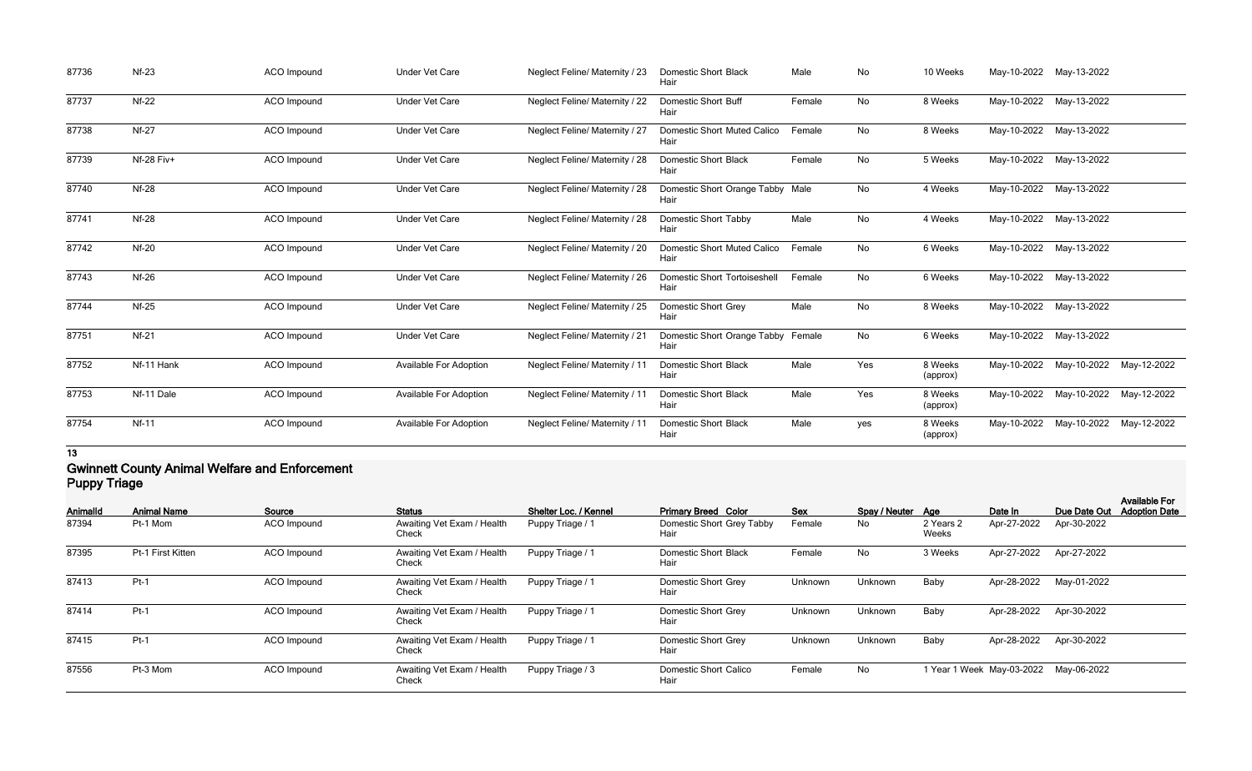| 87736 | $Nf-23$      | <b>ACO</b> Impound | <b>Under Vet Care</b>         | Neglect Feline/ Maternity / 23        | <b>Domestic Short Black</b><br>Hair         | Male   | No        | 10 Weeks            | May-10-2022 May-13-2022 |                                     |  |
|-------|--------------|--------------------|-------------------------------|---------------------------------------|---------------------------------------------|--------|-----------|---------------------|-------------------------|-------------------------------------|--|
| 87737 | $Nf-22$      | ACO Impound        | <b>Under Vet Care</b>         | Neglect Feline/ Maternity / 22        | <b>Domestic Short Buff</b><br>Hair          | Female | No        | 8 Weeks             | May-10-2022 May-13-2022 |                                     |  |
| 87738 | $Nf-27$      | ACO Impound        | <b>Under Vet Care</b>         | Neglect Feline/ Maternity / 27        | <b>Domestic Short Muted Calico</b><br>Hair  | Female | No        | 8 Weeks             |                         | May-10-2022 May-13-2022             |  |
| 87739 | Nf-28 Fiv+   | <b>ACO</b> Impound | <b>Under Vet Care</b>         | <b>Neglect Feline/ Maternity / 28</b> | <b>Domestic Short Black</b><br>Hair         | Female | No        | 5 Weeks             | May-10-2022 May-13-2022 |                                     |  |
| 87740 | <b>Nf-28</b> | <b>ACO</b> Impound | <b>Under Vet Care</b>         | Neglect Feline/ Maternity / 28        | Domestic Short Orange Tabby Male<br>Hair    |        | No        | 4 Weeks             | May-10-2022             | May-13-2022                         |  |
| 87741 | <b>Nf-28</b> | ACO Impound        | <b>Under Vet Care</b>         | <b>Neglect Feline/ Maternity / 28</b> | <b>Domestic Short Tabby</b><br>Hair         | Male   | No        | 4 Weeks             | May-10-2022 May-13-2022 |                                     |  |
| 87742 | <b>Nf-20</b> | <b>ACO</b> Impound | <b>Under Vet Care</b>         | Neglect Feline/ Maternity / 20        | <b>Domestic Short Muted Calico</b><br>Hair  | Female | No        | 6 Weeks             | May-10-2022 May-13-2022 |                                     |  |
| 87743 | <b>Nf-26</b> | <b>ACO</b> Impound | <b>Under Vet Care</b>         | Neglect Feline/ Maternity / 26        | <b>Domestic Short Tortoiseshell</b><br>Hair | Female | <b>No</b> | 6 Weeks             | May-10-2022 May-13-2022 |                                     |  |
| 87744 | $Nf-25$      | <b>ACO</b> Impound | <b>Under Vet Care</b>         | Neglect Feline/ Maternity / 25        | <b>Domestic Short Grey</b><br>Hair          | Male   | No        | 8 Weeks             | May-10-2022 May-13-2022 |                                     |  |
| 87751 | $Nf-21$      | <b>ACO</b> Impound | <b>Under Vet Care</b>         | <b>Neglect Feline/ Maternity / 21</b> | Domestic Short Orange Tabby Female<br>Hair  |        | No        | 6 Weeks             | May-10-2022 May-13-2022 |                                     |  |
| 87752 | Nf-11 Hank   | <b>ACO</b> Impound | <b>Available For Adoption</b> | <b>Neglect Feline/ Maternity / 11</b> | <b>Domestic Short Black</b><br>Hair         | Male   | Yes       | 8 Weeks<br>(approx) |                         | May-10-2022 May-10-2022 May-12-2022 |  |
| 87753 | Nf-11 Dale   | ACO Impound        | <b>Available For Adoption</b> | <b>Neglect Feline/ Maternity / 11</b> | <b>Domestic Short Black</b><br>Hair         | Male   | Yes       | 8 Weeks<br>(approx) | May-10-2022             | May-10-2022 May-12-2022             |  |
| 87754 | $Nf-11$      | <b>ACO</b> Impound | <b>Available For Adoption</b> | <b>Neglect Feline/ Maternity / 11</b> | <b>Domestic Short Black</b><br>Hair         | Male   | yes       | 8 Weeks<br>(approx) |                         | May-10-2022 May-10-2022 May-12-2022 |  |

### **Gwinnett County Animal Welfare and Enforcement Puppy Triage**

| . uppj ugu |                    |             |                                     |                       |                                      |         |                   |                    |                           |              |                                              |
|------------|--------------------|-------------|-------------------------------------|-----------------------|--------------------------------------|---------|-------------------|--------------------|---------------------------|--------------|----------------------------------------------|
| Animalld   | <b>Animal Name</b> | Source      | <b>Status</b>                       | Shelter Loc. / Kennel | <b>Primary Breed Color</b>           | Sex     | Spay / Neuter Age |                    | Date In                   | Due Date Out | <b>Available For</b><br><b>Adoption Date</b> |
| 87394      | Pt-1 Mom           | ACO Impound | Awaiting Vet Exam / Health<br>Check | Puppy Triage / 1      | Domestic Short Grey Tabby<br>Hair    | Female  | No                | 2 Years 2<br>Weeks | Apr-27-2022               | Apr-30-2022  |                                              |
| 87395      | Pt-1 First Kitten  | ACO Impound | Awaiting Vet Exam / Health<br>Check | Puppy Triage / 1      | <b>Domestic Short Black</b><br>Hair  | Female  | No                | 3 Weeks            | Apr-27-2022               | Apr-27-2022  |                                              |
| 87413      | $Pt-1$             | ACO Impound | Awaiting Vet Exam / Health<br>Check | Puppy Triage / 1      | Domestic Short Grey<br>Hair          | Unknown | Unknown           | Baby               | Apr-28-2022               | May-01-2022  |                                              |
| 87414      | $Pt-1$             | ACO Impound | Awaiting Vet Exam / Health<br>Check | Puppy Triage / 1      | Domestic Short Grey<br>Hair          | Unknown | Unknown           | Baby               | Apr-28-2022               | Apr-30-2022  |                                              |
| 87415      | $Pt-1$             | ACO Impound | Awaiting Vet Exam / Health<br>Check | Puppy Triage / 1      | <b>Domestic Short Grey</b><br>Hair   | Unknown | Unknown           | Baby               | Apr-28-2022               | Apr-30-2022  |                                              |
| 87556      | Pt-3 Mom           | ACO Impound | Awaiting Vet Exam / Health<br>Check | Puppy Triage / 3      | <b>Domestic Short Calico</b><br>Hair | Female  | No                |                    | 1 Year 1 Week May-03-2022 | May-06-2022  |                                              |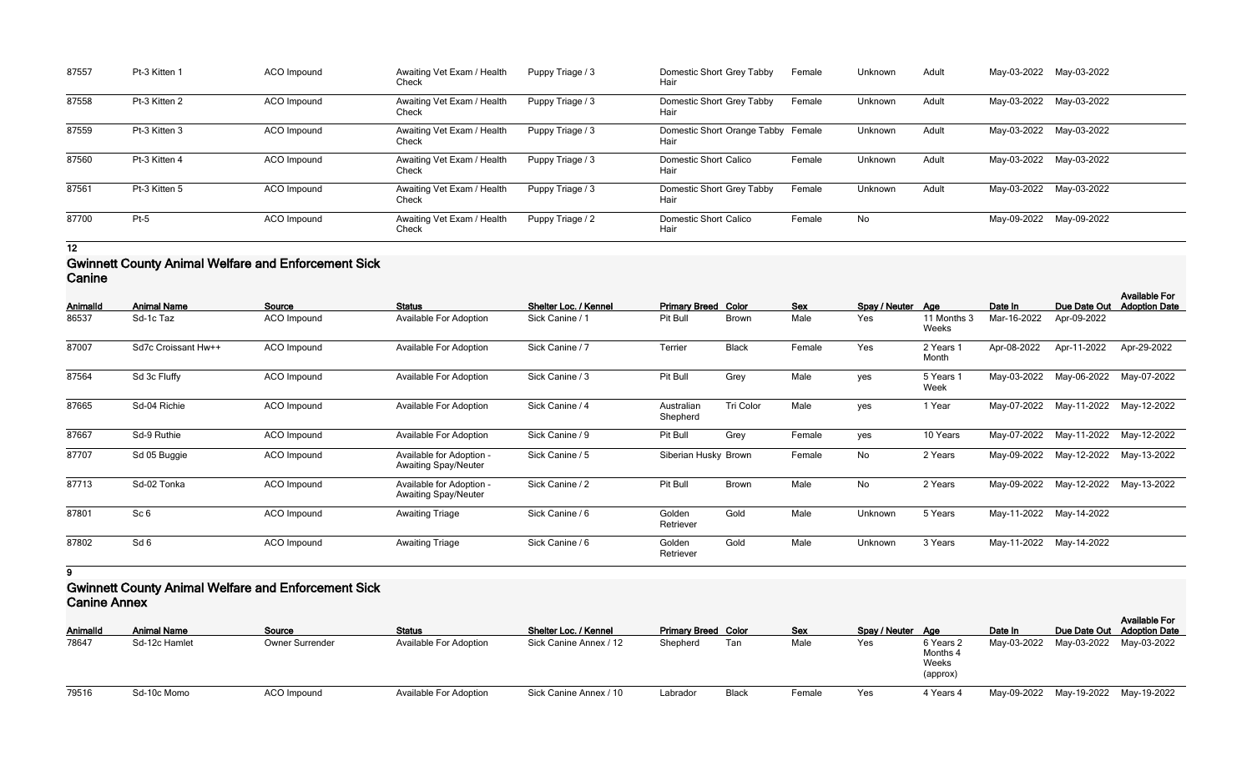| 87557 | Pt-3 Kitten 1 | ACO Impound | Awaiting Vet Exam / Health<br>Check | Puppy Triage / 3 | Domestic Short Grey Tabby<br>Hair          | Female | Unknown | Adult |                         | May-03-2022 May-03-2022 |
|-------|---------------|-------------|-------------------------------------|------------------|--------------------------------------------|--------|---------|-------|-------------------------|-------------------------|
| 87558 | Pt-3 Kitten 2 | ACO Impound | Awaiting Vet Exam / Health<br>Check | Puppy Triage / 3 | Domestic Short Grey Tabby<br>Hair          | Female | Unknown | Adult | May-03-2022 May-03-2022 |                         |
| 87559 | Pt-3 Kitten 3 | ACO Impound | Awaiting Vet Exam / Health<br>Check | Puppy Triage / 3 | Domestic Short Orange Tabby Female<br>Hair |        | Unknown | Adult | May-03-2022 May-03-2022 |                         |
| 87560 | Pt-3 Kitten 4 | ACO Impound | Awaiting Vet Exam / Health<br>Check | Puppy Triage / 3 | <b>Domestic Short Calico</b><br>Hair       | Female | Unknown | Adult | May-03-2022 May-03-2022 |                         |
| 87561 | Pt-3 Kitten 5 | ACO Impound | Awaiting Vet Exam / Health<br>Check | Puppy Triage / 3 | Domestic Short Grey Tabby<br>Hair          | Female | Unknown | Adult | May-03-2022 May-03-2022 |                         |
| 87700 | $Pt-5$        | ACO Impound | Awaiting Vet Exam / Health<br>Check | Puppy Triage / 2 | <b>Domestic Short Calico</b><br>Hair       | Female | No      |       | May-09-2022 May-09-2022 |                         |

#### **Gwinnett County Animal Welfare and Enforcement Sick Canine**

| <b>AnimalId</b> | <b>Animal Name</b>  | Source             | <b>Status</b>                                           | Shelter Loc. / Kennel | <b>Primary Breed Color</b> |              | Sex    | Spay / Neuter Age |                      | Date In     | Due Date Out            | <b>Available For</b><br><b>Adoption Date</b> |
|-----------------|---------------------|--------------------|---------------------------------------------------------|-----------------------|----------------------------|--------------|--------|-------------------|----------------------|-------------|-------------------------|----------------------------------------------|
| 86537           | Sd-1c Taz           | <b>ACO</b> Impound | <b>Available For Adoption</b>                           | Sick Canine / 1       | Pit Bull                   | <b>Brown</b> | Male   | Yes               | 11 Months 3<br>Weeks | Mar-16-2022 | Apr-09-2022             |                                              |
| 87007           | Sd7c Croissant Hw++ | <b>ACO</b> Impound | Available For Adoption                                  | Sick Canine / 7       | Terrier                    | <b>Black</b> | Female | Yes               | 2 Years 1<br>Month   | Apr-08-2022 | Apr-11-2022             | Apr-29-2022                                  |
| 87564           | Sd 3c Fluffy        | <b>ACO</b> Impound | Available For Adoption                                  | Sick Canine / 3       | Pit Bull                   | Grey         | Male   | yes               | 5 Years 1<br>Week    | May-03-2022 | May-06-2022             | May-07-2022                                  |
| 87665           | Sd-04 Richie        | <b>ACO</b> Impound | Available For Adoption                                  | Sick Canine / 4       | Australian<br>Shepherd     | Tri Color    | Male   | yes               | 1 Year               | May-07-2022 | May-11-2022             | May-12-2022                                  |
| 87667           | Sd-9 Ruthie         | <b>ACO</b> Impound | Available For Adoption                                  | Sick Canine / 9       | Pit Bull                   | Grey         | Female | yes               | 10 Years             | May-07-2022 | May-11-2022             | May-12-2022                                  |
| 87707           | Sd 05 Buggie        | <b>ACO</b> Impound | Available for Adoption -<br><b>Awaiting Spay/Neuter</b> | Sick Canine / 5       | Siberian Husky Brown       |              | Female | No                | 2 Years              | May-09-2022 | May-12-2022             | May-13-2022                                  |
| 87713           | Sd-02 Tonka         | <b>ACO</b> Impound | Available for Adoption -<br><b>Awaiting Spay/Neuter</b> | Sick Canine / 2       | Pit Bull                   | <b>Brown</b> | Male   | No                | 2 Years              | May-09-2022 | May-12-2022             | May-13-2022                                  |
| 87801           | Sc <sub>6</sub>     | <b>ACO</b> Impound | <b>Awaiting Triage</b>                                  | Sick Canine / 6       | Golden<br>Retriever        | Gold         | Male   | Unknown           | 5 Years              |             | May-11-2022 May-14-2022 |                                              |
| 87802           | Sd <sub>6</sub>     | <b>ACO</b> Impound | <b>Awaiting Triage</b>                                  | Sick Canine / 6       | Golden<br>Retriever        | Gold         | Male   | Unknown           | 3 Years              |             | May-11-2022 May-14-2022 |                                              |

**9**

## **Gwinnett County Animal Welfare and Enforcement Sick Canine Annex**

| VANINY / VINDY  |                    |                        |                               |                        |                            |       |            |                   |                                            |                                     |                            |                      |
|-----------------|--------------------|------------------------|-------------------------------|------------------------|----------------------------|-------|------------|-------------------|--------------------------------------------|-------------------------------------|----------------------------|----------------------|
| <b>AnimalId</b> | <b>Animal Name</b> | Source                 | <b>Status</b>                 | Shelter Loc. / Kennel  | <b>Primary Breed Color</b> |       | <b>Sex</b> | Spay / Neuter Age |                                            | Date In                             | Due Date Out Adoption Date | <b>Available For</b> |
| 78647           | Sd-12c Hamlet      | <b>Owner Surrender</b> | <b>Available For Adoption</b> | Sick Canine Annex / 12 | Shepherd                   | Tan   | Male       | Yes               | 6 Years 2<br>Months 4<br>Weeks<br>(approx) | May-03-2022 May-03-2022 May-03-2022 |                            |                      |
| 79516           | Sd-10c Momo        | <b>ACO</b> Impound     | <b>Available For Adoption</b> | Sick Canine Annex / 10 | Labrador                   | Black | Female     | Yes               | 4 Years 4                                  | May-09-2022 May-19-2022 May-19-2022 |                            |                      |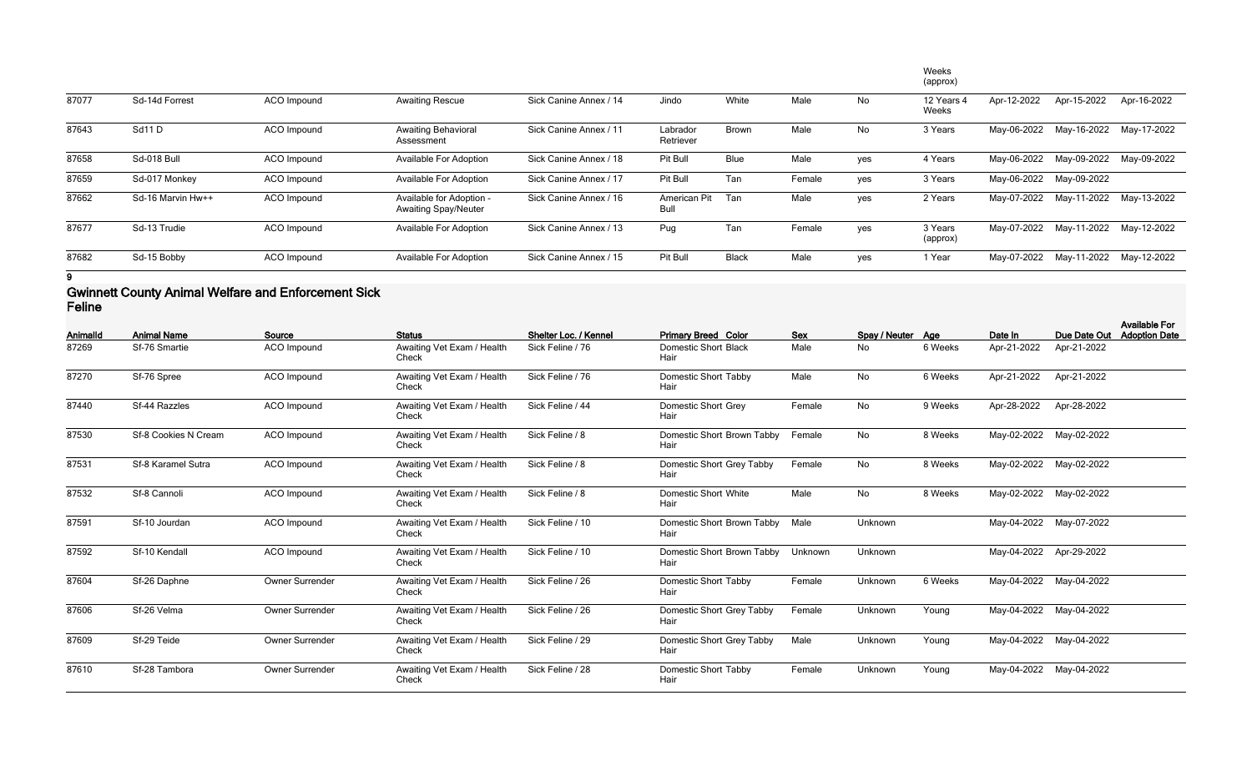|       |                   |                    |                                                         |                        |                       |              |        |     | Weeks<br>(approx)   |             |             |                         |
|-------|-------------------|--------------------|---------------------------------------------------------|------------------------|-----------------------|--------------|--------|-----|---------------------|-------------|-------------|-------------------------|
| 87077 | Sd-14d Forrest    | <b>ACO</b> Impound | <b>Awaiting Rescue</b>                                  | Sick Canine Annex / 14 | Jindo                 | White        | Male   | No  | 12 Years 4<br>Weeks | Apr-12-2022 | Apr-15-2022 | Apr-16-2022             |
| 87643 | Sd11D             | <b>ACO</b> Impound | <b>Awaiting Behavioral</b><br>Assessment                | Sick Canine Annex / 11 | Labrador<br>Retriever | <b>Brown</b> | Male   | No  | 3 Years             | May-06-2022 | May-16-2022 | May-17-2022             |
| 87658 | Sd-018 Bull       | ACO Impound        | <b>Available For Adoption</b>                           | Sick Canine Annex / 18 | Pit Bull              | <b>Blue</b>  | Male   | yes | 4 Years             | May-06-2022 | May-09-2022 | May-09-2022             |
| 87659 | Sd-017 Monkey     | <b>ACO</b> Impound | <b>Available For Adoption</b>                           | Sick Canine Annex / 17 | Pit Bull              | Tan          | Female | yes | 3 Years             | May-06-2022 | May-09-2022 |                         |
| 87662 | Sd-16 Marvin Hw++ | ACO Impound        | Available for Adoption -<br><b>Awaiting Spay/Neuter</b> | Sick Canine Annex / 16 | American Pit<br>Bull  | Tan          | Male   | yes | 2 Years             | May-07-2022 | May-11-2022 | May-13-2022             |
| 87677 | Sd-13 Trudie      | ACO Impound        | <b>Available For Adoption</b>                           | Sick Canine Annex / 13 | Pug                   | Tan          | Female | ves | 3 Years<br>(approx) | May-07-2022 | May-11-2022 | May-12-2022             |
| 87682 | Sd-15 Bobby       | ACO Impound        | <b>Available For Adoption</b>                           | Sick Canine Annex / 15 | Pit Bull              | <b>Black</b> | Male   | yes | 1 Year              | May-07-2022 |             | May-11-2022 May-12-2022 |

### **Gwinnett County Animal Welfare and Enforcement Sick Feline**

| <b>AnimalId</b> | <b>Animal Name</b>   | Source                 | <b>Status</b>                       | Shelter Loc. / Kennel | <b>Primary Breed Color</b>          | <b>Sex</b> | Spay / Neuter Age |         | Date In                 | Due Date Out            | <b>Available For</b><br><b>Adoption Date</b> |
|-----------------|----------------------|------------------------|-------------------------------------|-----------------------|-------------------------------------|------------|-------------------|---------|-------------------------|-------------------------|----------------------------------------------|
| 87269           | Sf-76 Smartie        | ACO Impound            | Awaiting Vet Exam / Health<br>Check | Sick Feline / 76      | <b>Domestic Short Black</b><br>Hair | Male       | No                | 6 Weeks | Apr-21-2022             | Apr-21-2022             |                                              |
| 87270           | Sf-76 Spree          | ACO Impound            | Awaiting Vet Exam / Health<br>Check | Sick Feline / 76      | <b>Domestic Short Tabby</b><br>Hair | Male       | No                | 6 Weeks | Apr-21-2022             | Apr-21-2022             |                                              |
| 87440           | Sf-44 Razzles        | ACO Impound            | Awaiting Vet Exam / Health<br>Check | Sick Feline / 44      | Domestic Short Grey<br>Hair         | Female     | <b>No</b>         | 9 Weeks | Apr-28-2022             | Apr-28-2022             |                                              |
| 87530           | Sf-8 Cookies N Cream | <b>ACO</b> Impound     | Awaiting Vet Exam / Health<br>Check | Sick Feline / 8       | Domestic Short Brown Tabby<br>Hair  | Female     | No                | 8 Weeks |                         | May-02-2022 May-02-2022 |                                              |
| 87531           | Sf-8 Karamel Sutra   | ACO Impound            | Awaiting Vet Exam / Health<br>Check | Sick Feline / 8       | Domestic Short Grey Tabby<br>Hair   | Female     | No                | 8 Weeks |                         | May-02-2022 May-02-2022 |                                              |
| 87532           | Sf-8 Cannoli         | ACO Impound            | Awaiting Vet Exam / Health<br>Check | Sick Feline / 8       | <b>Domestic Short White</b><br>Hair | Male       | No                | 8 Weeks |                         | May-02-2022 May-02-2022 |                                              |
| 87591           | Sf-10 Jourdan        | <b>ACO</b> Impound     | Awaiting Vet Exam / Health<br>Check | Sick Feline / 10      | Domestic Short Brown Tabby<br>Hair  | Male       | Unknown           |         |                         | May-04-2022 May-07-2022 |                                              |
| 87592           | Sf-10 Kendall        | <b>ACO</b> Impound     | Awaiting Vet Exam / Health<br>Check | Sick Feline / 10      | Domestic Short Brown Tabby<br>Hair  | Unknown    | Unknown           |         | May-04-2022 Apr-29-2022 |                         |                                              |
| 87604           | Sf-26 Daphne         | <b>Owner Surrender</b> | Awaiting Vet Exam / Health<br>Check | Sick Feline / 26      | Domestic Short Tabby<br>Hair        | Female     | Unknown           | 6 Weeks |                         | May-04-2022 May-04-2022 |                                              |
| 87606           | Sf-26 Velma          | Owner Surrender        | Awaiting Vet Exam / Health<br>Check | Sick Feline / 26      | Domestic Short Grey Tabby<br>Hair   | Female     | Unknown           | Young   |                         | May-04-2022 May-04-2022 |                                              |
| 87609           | Sf-29 Teide          | Owner Surrender        | Awaiting Vet Exam / Health<br>Check | Sick Feline / 29      | Domestic Short Grey Tabby<br>Hair   | Male       | Unknown           | Young   |                         | May-04-2022 May-04-2022 |                                              |
| 87610           | Sf-28 Tambora        | Owner Surrender        | Awaiting Vet Exam / Health<br>Check | Sick Feline / 28      | <b>Domestic Short Tabby</b><br>Hair | Female     | Unknown           | Young   | May-04-2022 May-04-2022 |                         |                                              |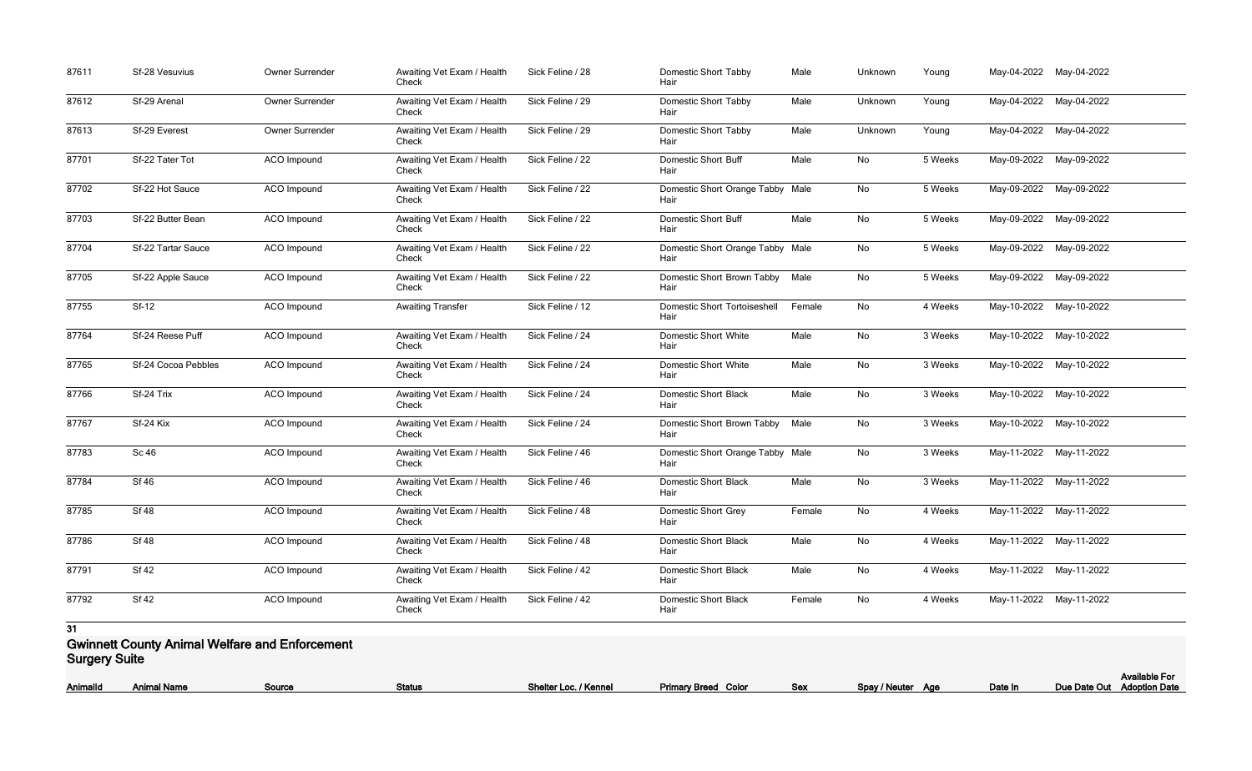| 87611 | Sf-28 Vesuvius            | Owner Surrender    | Awaiting Vet Exam / Health<br>Check | Sick Feline / 28 | <b>Domestic Short Tabby</b><br>Hair         | Male   | Unknown | Young   | May-04-2022 May-04-2022 |             |
|-------|---------------------------|--------------------|-------------------------------------|------------------|---------------------------------------------|--------|---------|---------|-------------------------|-------------|
| 87612 | Sf-29 Arenal              | Owner Surrender    | Awaiting Vet Exam / Health<br>Check | Sick Feline / 29 | <b>Domestic Short Tabby</b><br>Hair         | Male   | Unknown | Young   | May-04-2022             | May-04-2022 |
| 87613 | Sf-29 Everest             | Owner Surrender    | Awaiting Vet Exam / Health<br>Check | Sick Feline / 29 | Domestic Short Tabby<br>Hair                | Male   | Unknown | Young   | May-04-2022             | May-04-2022 |
| 87701 | Sf-22 Tater Tot           | <b>ACO</b> Impound | Awaiting Vet Exam / Health<br>Check | Sick Feline / 22 | <b>Domestic Short Buff</b><br>Hair          | Male   | No      | 5 Weeks | May-09-2022 May-09-2022 |             |
| 87702 | Sf-22 Hot Sauce           | ACO Impound        | Awaiting Vet Exam / Health<br>Check | Sick Feline / 22 | Domestic Short Orange Tabby Male<br>Hair    |        | No      | 5 Weeks | May-09-2022             | May-09-2022 |
| 87703 | Sf-22 Butter Bean         | ACO Impound        | Awaiting Vet Exam / Health<br>Check | Sick Feline / 22 | <b>Domestic Short Buff</b><br>Hair          | Male   | No      | 5 Weeks | May-09-2022             | May-09-2022 |
| 87704 | <b>Sf-22 Tartar Sauce</b> | <b>ACO</b> Impound | Awaiting Vet Exam / Health<br>Check | Sick Feline / 22 | Domestic Short Orange Tabby Male<br>Hair    |        | No      | 5 Weeks | May-09-2022 May-09-2022 |             |
| 87705 | Sf-22 Apple Sauce         | ACO Impound        | Awaiting Vet Exam / Health<br>Check | Sick Feline / 22 | Domestic Short Brown Tabby<br>Hair          | Male   | No      | 5 Weeks | May-09-2022 May-09-2022 |             |
| 87755 | Sf-12                     | ACO Impound        | <b>Awaiting Transfer</b>            | Sick Feline / 12 | <b>Domestic Short Tortoiseshell</b><br>Hair | Female | No      | 4 Weeks | May-10-2022             | May-10-2022 |
| 87764 | Sf-24 Reese Puff          | <b>ACO</b> Impound | Awaiting Vet Exam / Health<br>Check | Sick Feline / 24 | <b>Domestic Short White</b><br>Hair         | Male   | No      | 3 Weeks | May-10-2022 May-10-2022 |             |
| 87765 | Sf-24 Cocoa Pebbles       | ACO Impound        | Awaiting Vet Exam / Health<br>Check | Sick Feline / 24 | <b>Domestic Short White</b><br>Hair         | Male   | No      | 3 Weeks | May-10-2022 May-10-2022 |             |
| 87766 | Sf-24 Trix                | ACO Impound        | Awaiting Vet Exam / Health<br>Check | Sick Feline / 24 | <b>Domestic Short Black</b><br>Hair         | Male   | No      | 3 Weeks | May-10-2022             | May-10-2022 |
| 87767 | Sf-24 Kix                 | <b>ACO</b> Impound | Awaiting Vet Exam / Health<br>Check | Sick Feline / 24 | Domestic Short Brown Tabby<br>Hair          | Male   | No      | 3 Weeks | May-10-2022 May-10-2022 |             |
| 87783 | <b>Sc 46</b>              | <b>ACO</b> Impound | Awaiting Vet Exam / Health<br>Check | Sick Feline / 46 | Domestic Short Orange Tabby Male<br>Hair    |        | No      | 3 Weeks | May-11-2022 May-11-2022 |             |
| 87784 | <b>Sf 46</b>              | <b>ACO Impound</b> | Awaiting Vet Exam / Health<br>Check | Sick Feline / 46 | Domestic Short Black<br>Hair                | Male   | No      | 3 Weeks | May-11-2022 May-11-2022 |             |
| 87785 | <b>Sf 48</b>              | ACO Impound        | Awaiting Vet Exam / Health<br>Check | Sick Feline / 48 | <b>Domestic Short Grey</b><br>Hair          | Female | No      | 4 Weeks | May-11-2022 May-11-2022 |             |
| 87786 | <b>Sf 48</b>              | ACO Impound        | Awaiting Vet Exam / Health<br>Check | Sick Feline / 48 | <b>Domestic Short Black</b><br>Hair         | Male   | No      | 4 Weeks | May-11-2022 May-11-2022 |             |
| 87791 | <b>Sf 42</b>              | ACO Impound        | Awaiting Vet Exam / Health<br>Check | Sick Feline / 42 | Domestic Short Black<br>Hair                | Male   | No      | 4 Weeks | May-11-2022 May-11-2022 |             |
| 87792 | <b>Sf 42</b>              | ACO Impound        | Awaiting Vet Exam / Health<br>Check | Sick Feline / 42 | <b>Domestic Short Black</b><br>Hair         | Female | No      | 4 Weeks | May-11-2022 May-11-2022 |             |

#### **Gwinnett County Animal Welfare and Enforcement Surgery Suite**

| <b>AnimalId</b> | Animal Name | <b>Source</b> | <u>Status</u> | Loc. / Kennel<br>Shelter | Primary Breed Color | <u>Sex</u> | Spay / Neuter | Date In<br>Аае | Due<br>Date Out |
|-----------------|-------------|---------------|---------------|--------------------------|---------------------|------------|---------------|----------------|-----------------|
|                 |             |               |               |                          |                     |            |               |                |                 |

|                   |         | <b>Available For</b>       |
|-------------------|---------|----------------------------|
| Spay / Neuter Age | Date In | Due Date Out Adoption Date |